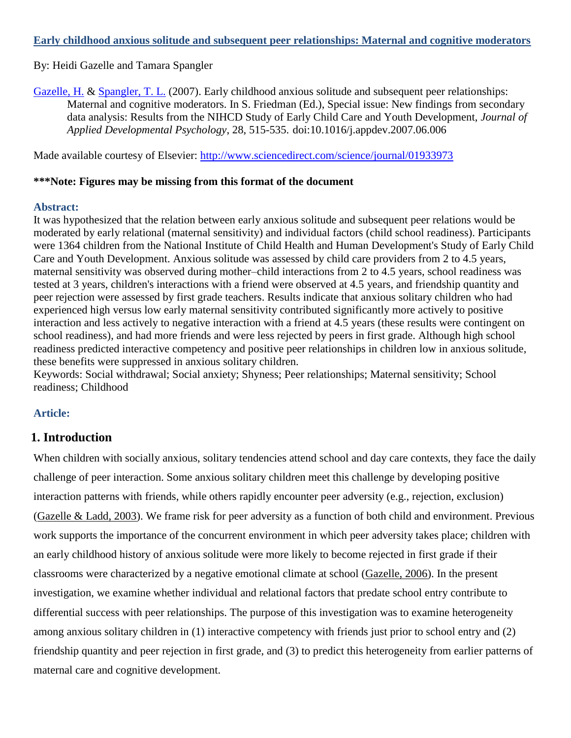# **Early childhood anxious solitude and subsequent peer relationships: Maternal and cognitive moderators**

By: Heidi Gazelle and Tamara Spangler

[Gazelle, H.](http://libres.uncg.edu/ir/uncg/clist.aspx?id=566) & [Spangler, T. L.](http://libres.uncg.edu/ir/uncg/clist.aspx?id=1723) (2007). Early childhood anxious solitude and subsequent peer relationships: Maternal and cognitive moderators. In S. Friedman (Ed.), Special issue: New findings from secondary data analysis: Results from the NIHCD Study of Early Child Care and Youth Development, *Journal of Applied Developmental Psychology*, 28, 515-535. doi:10.1016/j.appdev.2007.06.006

Made available courtesy of Elsevier:<http://www.sciencedirect.com/science/journal/01933973>

# **\*\*\*Note: Figures may be missing from this format of the document**

# **Abstract:**

It was hypothesized that the relation between early anxious solitude and subsequent peer relations would be moderated by early relational (maternal sensitivity) and individual factors (child school readiness). Participants were 1364 children from the National Institute of Child Health and Human Development's Study of Early Child Care and Youth Development. Anxious solitude was assessed by child care providers from 2 to 4.5 years, maternal sensitivity was observed during mother–child interactions from 2 to 4.5 years, school readiness was tested at 3 years, children's interactions with a friend were observed at 4.5 years, and friendship quantity and peer rejection were assessed by first grade teachers. Results indicate that anxious solitary children who had experienced high versus low early maternal sensitivity contributed significantly more actively to positive interaction and less actively to negative interaction with a friend at 4.5 years (these results were contingent on school readiness), and had more friends and were less rejected by peers in first grade. Although high school readiness predicted interactive competency and positive peer relationships in children low in anxious solitude, these benefits were suppressed in anxious solitary children.

Keywords: Social withdrawal; Social anxiety; Shyness; Peer relationships; Maternal sensitivity; School readiness; Childhood

# **Article:**

# **1. Introduction**

When children with socially anxious, solitary tendencies attend school and day care contexts, they face the daily challenge of peer interaction. Some anxious solitary children meet this challenge by developing positive interaction patterns with friends, while others rapidly encounter peer adversity (e.g., rejection, exclusion) (Gazelle & Ladd, 2003). We frame risk for peer adversity as a function of both child and environment. Previous work supports the importance of the concurrent environment in which peer adversity takes place; children with an early childhood history of anxious solitude were more likely to become rejected in first grade if their classrooms were characterized by a negative emotional climate at school (Gazelle, 2006). In the present investigation, we examine whether individual and relational factors that predate school entry contribute to differential success with peer relationships. The purpose of this investigation was to examine heterogeneity among anxious solitary children in (1) interactive competency with friends just prior to school entry and (2) friendship quantity and peer rejection in first grade, and (3) to predict this heterogeneity from earlier patterns of maternal care and cognitive development.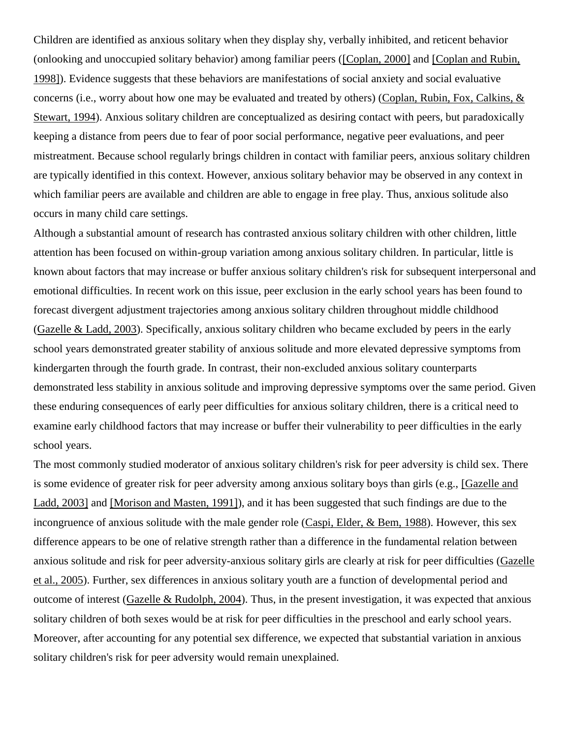Children are identified as anxious solitary when they display shy, verbally inhibited, and reticent behavior (onlooking and unoccupied solitary behavior) among familiar peers ([Coplan, 2000] and [Coplan and Rubin, 1998]). Evidence suggests that these behaviors are manifestations of social anxiety and social evaluative concerns (i.e., worry about how one may be evaluated and treated by others) (Coplan, Rubin, Fox, Calkins, & Stewart, 1994). Anxious solitary children are conceptualized as desiring contact with peers, but paradoxically keeping a distance from peers due to fear of poor social performance, negative peer evaluations, and peer mistreatment. Because school regularly brings children in contact with familiar peers, anxious solitary children are typically identified in this context. However, anxious solitary behavior may be observed in any context in which familiar peers are available and children are able to engage in free play. Thus, anxious solitude also occurs in many child care settings.

Although a substantial amount of research has contrasted anxious solitary children with other children, little attention has been focused on within-group variation among anxious solitary children. In particular, little is known about factors that may increase or buffer anxious solitary children's risk for subsequent interpersonal and emotional difficulties. In recent work on this issue, peer exclusion in the early school years has been found to forecast divergent adjustment trajectories among anxious solitary children throughout middle childhood (Gazelle & Ladd, 2003). Specifically, anxious solitary children who became excluded by peers in the early school years demonstrated greater stability of anxious solitude and more elevated depressive symptoms from kindergarten through the fourth grade. In contrast, their non-excluded anxious solitary counterparts demonstrated less stability in anxious solitude and improving depressive symptoms over the same period. Given these enduring consequences of early peer difficulties for anxious solitary children, there is a critical need to examine early childhood factors that may increase or buffer their vulnerability to peer difficulties in the early school years.

The most commonly studied moderator of anxious solitary children's risk for peer adversity is child sex. There is some evidence of greater risk for peer adversity among anxious solitary boys than girls (e.g., [Gazelle and Ladd, 2003] and [Morison and Masten, 1991]), and it has been suggested that such findings are due to the incongruence of anxious solitude with the male gender role (Caspi, Elder, & Bem, 1988). However, this sex difference appears to be one of relative strength rather than a difference in the fundamental relation between anxious solitude and risk for peer adversity-anxious solitary girls are clearly at risk for peer difficulties (Gazelle et al., 2005). Further, sex differences in anxious solitary youth are a function of developmental period and outcome of interest (Gazelle & Rudolph, 2004). Thus, in the present investigation, it was expected that anxious solitary children of both sexes would be at risk for peer difficulties in the preschool and early school years. Moreover, after accounting for any potential sex difference, we expected that substantial variation in anxious solitary children's risk for peer adversity would remain unexplained.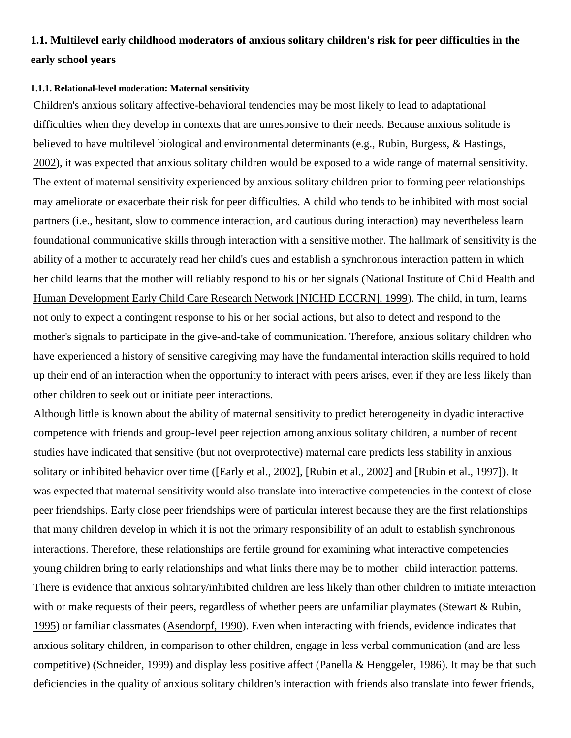# **1.1. Multilevel early childhood moderators of anxious solitary children's risk for peer difficulties in the early school years**

#### **1.1.1. Relational-level moderation: Maternal sensitivity**

Children's anxious solitary affective-behavioral tendencies may be most likely to lead to adaptational difficulties when they develop in contexts that are unresponsive to their needs. Because anxious solitude is believed to have multilevel biological and environmental determinants (e.g., Rubin, Burgess, & Hastings, 2002), it was expected that anxious solitary children would be exposed to a wide range of maternal sensitivity. The extent of maternal sensitivity experienced by anxious solitary children prior to forming peer relationships may ameliorate or exacerbate their risk for peer difficulties. A child who tends to be inhibited with most social partners (i.e., hesitant, slow to commence interaction, and cautious during interaction) may nevertheless learn foundational communicative skills through interaction with a sensitive mother. The hallmark of sensitivity is the ability of a mother to accurately read her child's cues and establish a synchronous interaction pattern in which her child learns that the mother will reliably respond to his or her signals (National Institute of Child Health and Human Development Early Child Care Research Network [NICHD ECCRN], 1999). The child, in turn, learns not only to expect a contingent response to his or her social actions, but also to detect and respond to the mother's signals to participate in the give-and-take of communication. Therefore, anxious solitary children who have experienced a history of sensitive caregiving may have the fundamental interaction skills required to hold up their end of an interaction when the opportunity to interact with peers arises, even if they are less likely than other children to seek out or initiate peer interactions.

Although little is known about the ability of maternal sensitivity to predict heterogeneity in dyadic interactive competence with friends and group-level peer rejection among anxious solitary children, a number of recent studies have indicated that sensitive (but not overprotective) maternal care predicts less stability in anxious solitary or inhibited behavior over time ([Early et al., 2002], [Rubin et al., 2002] and [Rubin et al., 1997]). It was expected that maternal sensitivity would also translate into interactive competencies in the context of close peer friendships. Early close peer friendships were of particular interest because they are the first relationships that many children develop in which it is not the primary responsibility of an adult to establish synchronous interactions. Therefore, these relationships are fertile ground for examining what interactive competencies young children bring to early relationships and what links there may be to mother–child interaction patterns. There is evidence that anxious solitary/inhibited children are less likely than other children to initiate interaction with or make requests of their peers, regardless of whether peers are unfamiliar playmates (Stewart & Rubin, 1995) or familiar classmates (Asendorpf, 1990). Even when interacting with friends, evidence indicates that anxious solitary children, in comparison to other children, engage in less verbal communication (and are less competitive) (Schneider, 1999) and display less positive affect (Panella & Henggeler, 1986). It may be that such deficiencies in the quality of anxious solitary children's interaction with friends also translate into fewer friends,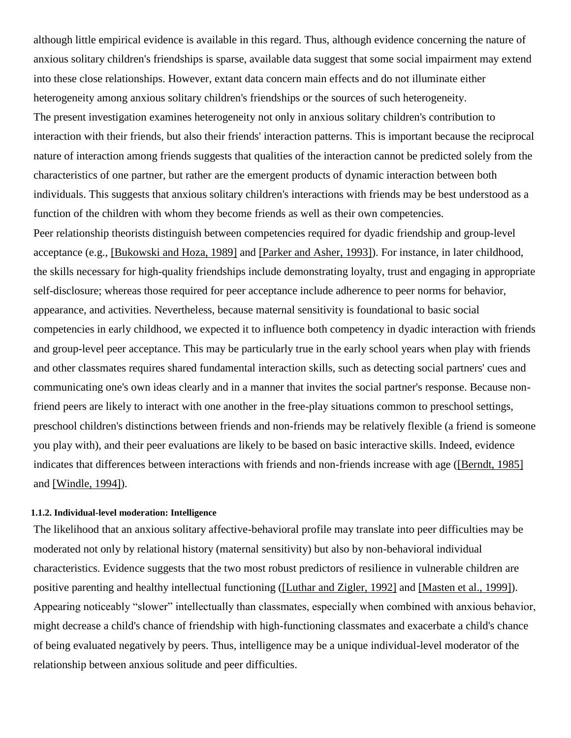although little empirical evidence is available in this regard. Thus, although evidence concerning the nature of anxious solitary children's friendships is sparse, available data suggest that some social impairment may extend into these close relationships. However, extant data concern main effects and do not illuminate either heterogeneity among anxious solitary children's friendships or the sources of such heterogeneity. The present investigation examines heterogeneity not only in anxious solitary children's contribution to interaction with their friends, but also their friends' interaction patterns. This is important because the reciprocal nature of interaction among friends suggests that qualities of the interaction cannot be predicted solely from the characteristics of one partner, but rather are the emergent products of dynamic interaction between both individuals. This suggests that anxious solitary children's interactions with friends may be best understood as a function of the children with whom they become friends as well as their own competencies. Peer relationship theorists distinguish between competencies required for dyadic friendship and group-level acceptance (e.g., [Bukowski and Hoza, 1989] and [Parker and Asher, 1993]). For instance, in later childhood, the skills necessary for high-quality friendships include demonstrating loyalty, trust and engaging in appropriate self-disclosure; whereas those required for peer acceptance include adherence to peer norms for behavior, appearance, and activities. Nevertheless, because maternal sensitivity is foundational to basic social competencies in early childhood, we expected it to influence both competency in dyadic interaction with friends and group-level peer acceptance. This may be particularly true in the early school years when play with friends and other classmates requires shared fundamental interaction skills, such as detecting social partners' cues and communicating one's own ideas clearly and in a manner that invites the social partner's response. Because nonfriend peers are likely to interact with one another in the free-play situations common to preschool settings, preschool children's distinctions between friends and non-friends may be relatively flexible (a friend is someone you play with), and their peer evaluations are likely to be based on basic interactive skills. Indeed, evidence indicates that differences between interactions with friends and non-friends increase with age ([Berndt, 1985] and [Windle, 1994]).

## **1.1.2. Individual-level moderation: Intelligence**

The likelihood that an anxious solitary affective-behavioral profile may translate into peer difficulties may be moderated not only by relational history (maternal sensitivity) but also by non-behavioral individual characteristics. Evidence suggests that the two most robust predictors of resilience in vulnerable children are positive parenting and healthy intellectual functioning ([Luthar and Zigler, 1992] and [Masten et al., 1999]). Appearing noticeably "slower" intellectually than classmates, especially when combined with anxious behavior, might decrease a child's chance of friendship with high-functioning classmates and exacerbate a child's chance of being evaluated negatively by peers. Thus, intelligence may be a unique individual-level moderator of the relationship between anxious solitude and peer difficulties.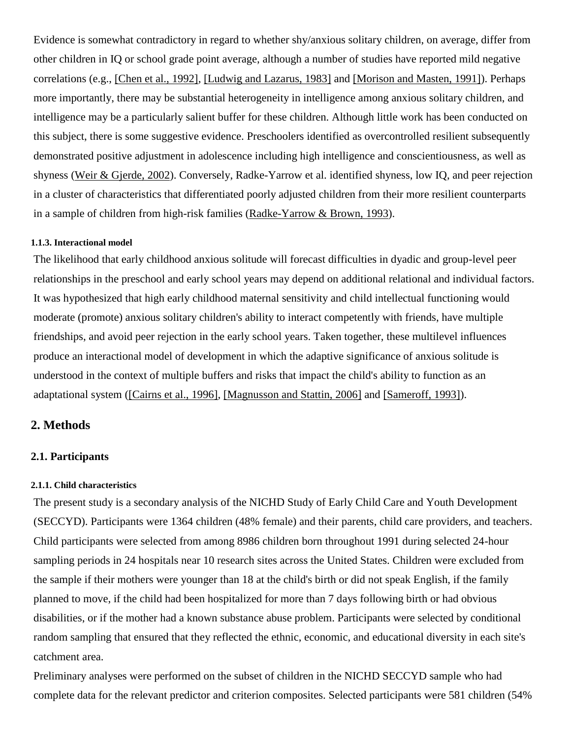Evidence is somewhat contradictory in regard to whether shy/anxious solitary children, on average, differ from other children in IQ or school grade point average, although a number of studies have reported mild negative correlations (e.g., [Chen et al., 1992], [Ludwig and Lazarus, 1983] and [Morison and Masten, 1991]). Perhaps more importantly, there may be substantial heterogeneity in intelligence among anxious solitary children, and intelligence may be a particularly salient buffer for these children. Although little work has been conducted on this subject, there is some suggestive evidence. Preschoolers identified as overcontrolled resilient subsequently demonstrated positive adjustment in adolescence including high intelligence and conscientiousness, as well as shyness (Weir & Gjerde, 2002). Conversely, Radke-Yarrow et al. identified shyness, low IQ, and peer rejection in a cluster of characteristics that differentiated poorly adjusted children from their more resilient counterparts in a sample of children from high-risk families (Radke-Yarrow & Brown, 1993).

### **1.1.3. Interactional model**

The likelihood that early childhood anxious solitude will forecast difficulties in dyadic and group-level peer relationships in the preschool and early school years may depend on additional relational and individual factors. It was hypothesized that high early childhood maternal sensitivity and child intellectual functioning would moderate (promote) anxious solitary children's ability to interact competently with friends, have multiple friendships, and avoid peer rejection in the early school years. Taken together, these multilevel influences produce an interactional model of development in which the adaptive significance of anxious solitude is understood in the context of multiple buffers and risks that impact the child's ability to function as an adaptational system ([Cairns et al., 1996], [Magnusson and Stattin, 2006] and [Sameroff, 1993]).

# **2. Methods**

#### **2.1. Participants**

#### **2.1.1. Child characteristics**

The present study is a secondary analysis of the NICHD Study of Early Child Care and Youth Development (SECCYD). Participants were 1364 children (48% female) and their parents, child care providers, and teachers. Child participants were selected from among 8986 children born throughout 1991 during selected 24-hour sampling periods in 24 hospitals near 10 research sites across the United States. Children were excluded from the sample if their mothers were younger than 18 at the child's birth or did not speak English, if the family planned to move, if the child had been hospitalized for more than 7 days following birth or had obvious disabilities, or if the mother had a known substance abuse problem. Participants were selected by conditional random sampling that ensured that they reflected the ethnic, economic, and educational diversity in each site's catchment area.

Preliminary analyses were performed on the subset of children in the NICHD SECCYD sample who had complete data for the relevant predictor and criterion composites. Selected participants were 581 children (54%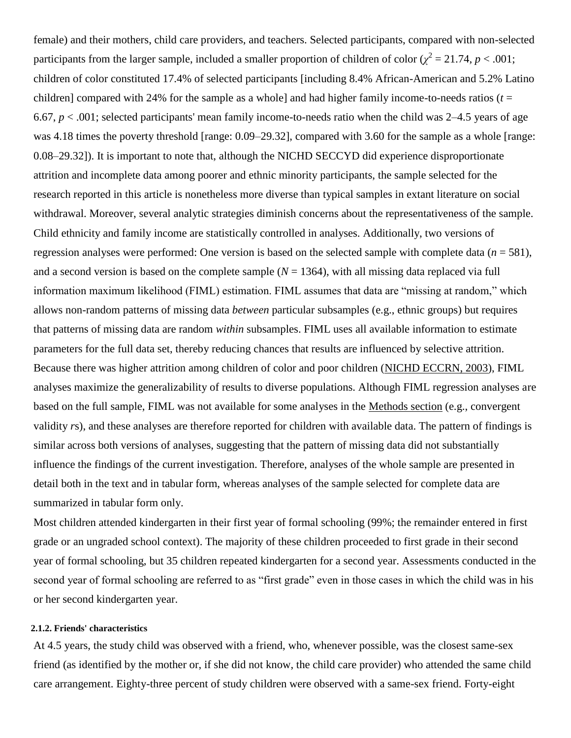female) and their mothers, child care providers, and teachers. Selected participants, compared with non-selected participants from the larger sample, included a smaller proportion of children of color ( $\chi^2 = 21.74$ ,  $p < .001$ ; children of color constituted 17.4% of selected participants [including 8.4% African-American and 5.2% Latino children] compared with 24% for the sample as a whole] and had higher family income-to-needs ratios  $(t =$ 6.67,  $p < .001$ ; selected participants' mean family income-to-needs ratio when the child was  $2-4.5$  years of age was 4.18 times the poverty threshold [range:  $0.09-29.32$ ], compared with 3.60 for the sample as a whole [range: 0.08–29.32]). It is important to note that, although the NICHD SECCYD did experience disproportionate attrition and incomplete data among poorer and ethnic minority participants, the sample selected for the research reported in this article is nonetheless more diverse than typical samples in extant literature on social withdrawal. Moreover, several analytic strategies diminish concerns about the representativeness of the sample. Child ethnicity and family income are statistically controlled in analyses. Additionally, two versions of regression analyses were performed: One version is based on the selected sample with complete data (*n* = 581), and a second version is based on the complete sample  $(N = 1364)$ , with all missing data replaced via full information maximum likelihood (FIML) estimation. FIML assumes that data are "missing at random," which allows non-random patterns of missing data *between* particular subsamples (e.g., ethnic groups) but requires that patterns of missing data are random *within* subsamples. FIML uses all available information to estimate parameters for the full data set, thereby reducing chances that results are influenced by selective attrition. Because there was higher attrition among children of color and poor children (NICHD ECCRN, 2003), FIML analyses maximize the generalizability of results to diverse populations. Although FIML regression analyses are based on the full sample, FIML was not available for some analyses in the Methods section (e.g., convergent validity *r*s), and these analyses are therefore reported for children with available data. The pattern of findings is similar across both versions of analyses, suggesting that the pattern of missing data did not substantially influence the findings of the current investigation. Therefore, analyses of the whole sample are presented in detail both in the text and in tabular form, whereas analyses of the sample selected for complete data are summarized in tabular form only.

Most children attended kindergarten in their first year of formal schooling (99%; the remainder entered in first grade or an ungraded school context). The majority of these children proceeded to first grade in their second year of formal schooling, but 35 children repeated kindergarten for a second year. Assessments conducted in the second year of formal schooling are referred to as "first grade" even in those cases in which the child was in his or her second kindergarten year.

#### **2.1.2. Friends' characteristics**

At 4.5 years, the study child was observed with a friend, who, whenever possible, was the closest same-sex friend (as identified by the mother or, if she did not know, the child care provider) who attended the same child care arrangement. Eighty-three percent of study children were observed with a same-sex friend. Forty-eight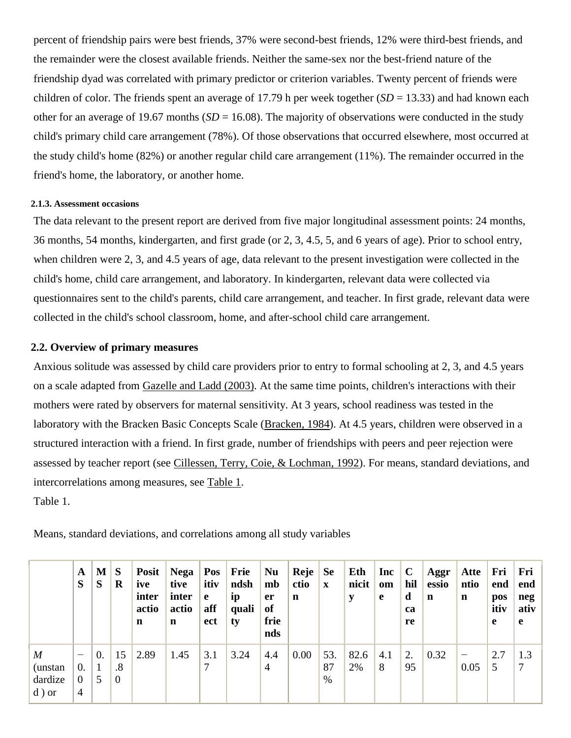percent of friendship pairs were best friends, 37% were second-best friends, 12% were third-best friends, and the remainder were the closest available friends. Neither the same-sex nor the best-friend nature of the friendship dyad was correlated with primary predictor or criterion variables. Twenty percent of friends were children of color. The friends spent an average of 17.79 h per week together (*SD* = 13.33) and had known each other for an average of 19.67 months (*SD* = 16.08). The majority of observations were conducted in the study child's primary child care arrangement (78%). Of those observations that occurred elsewhere, most occurred at the study child's home (82%) or another regular child care arrangement (11%). The remainder occurred in the friend's home, the laboratory, or another home.

#### **2.1.3. Assessment occasions**

The data relevant to the present report are derived from five major longitudinal assessment points: 24 months, 36 months, 54 months, kindergarten, and first grade (or 2, 3, 4.5, 5, and 6 years of age). Prior to school entry, when children were 2, 3, and 4.5 years of age, data relevant to the present investigation were collected in the child's home, child care arrangement, and laboratory. In kindergarten, relevant data were collected via questionnaires sent to the child's parents, child care arrangement, and teacher. In first grade, relevant data were collected in the child's school classroom, home, and after-school child care arrangement.

#### **2.2. Overview of primary measures**

Anxious solitude was assessed by child care providers prior to entry to formal schooling at 2, 3, and 4.5 years on a scale adapted from Gazelle and Ladd (2003). At the same time points, children's interactions with their mothers were rated by observers for maternal sensitivity. At 3 years, school readiness was tested in the laboratory with the Bracken Basic Concepts Scale (Bracken, 1984). At 4.5 years, children were observed in a structured interaction with a friend. In first grade, number of friendships with peers and peer rejection were assessed by teacher report (see Cillessen, Terry, Coie, & Lochman, 1992). For means, standard deviations, and intercorrelations among measures, see Table 1.

Table 1.

Means, standard deviations, and correlations among all study variables

|                                                 | A<br>S                                                                     | $\mathbf{M}$<br>S | S<br>R                      | <b>Posit</b><br>ive<br>inter<br>actio<br>$\mathbf n$ | <b>Nega</b><br>tive<br>inter<br>actio<br>$\mathbf n$ | Pos<br>itiv<br>e<br>aff<br>ect | Frie<br>ndsh<br>ip<br>quali<br>ty | <b>Nu</b><br>mb<br>er<br>of<br>frie<br>nds | Reje<br>ctio<br>$\mathbf n$ | <b>Se</b><br>$\mathbf{x}$ | Eth<br>nicit<br>y | Inc<br>om<br>e | $\mathbf C$<br>hil<br>d<br>ca<br>re | Aggr<br>essio<br>n | Atte<br>ntio<br>$\mathbf n$ | Fri<br>end<br>pos<br>itiv<br>e | Fri<br>end<br>neg<br>ativ<br>e |
|-------------------------------------------------|----------------------------------------------------------------------------|-------------------|-----------------------------|------------------------------------------------------|------------------------------------------------------|--------------------------------|-----------------------------------|--------------------------------------------|-----------------------------|---------------------------|-------------------|----------------|-------------------------------------|--------------------|-----------------------------|--------------------------------|--------------------------------|
| $\boldsymbol{M}$<br>(unstan<br>dardize<br>d) or | $\overline{\phantom{0}}$<br>$\overline{0}$ .<br>$\theta$<br>$\overline{4}$ | 0.<br>1<br>5      | 15<br>$\cdot$ 8<br>$\Omega$ | 2.89                                                 | 1.45                                                 | 3.1                            | 3.24                              | 4.4<br>4                                   | 0.00                        | 53.<br>87<br>$\%$         | 82.6<br>2%        | 4.1<br>8       | 2.<br>95                            | 0.32               | $\qquad \qquad -$<br>0.05   | 2.7<br>5                       | 1.3                            |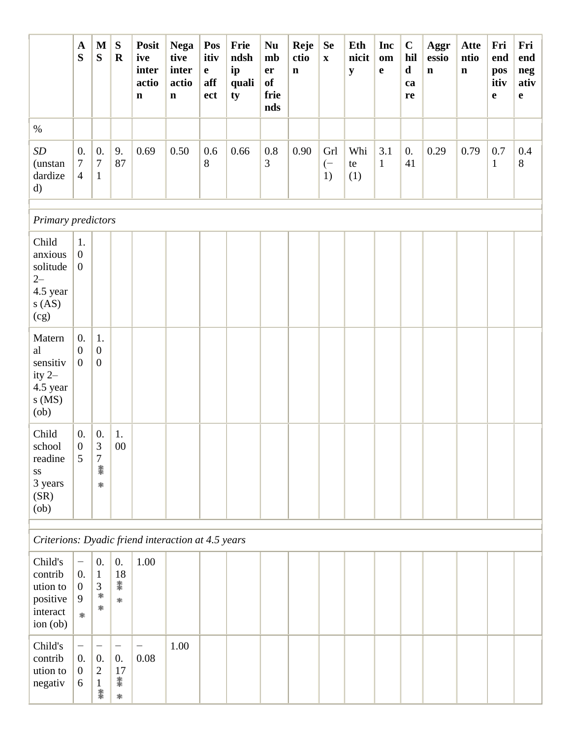|                                                                                 | $\mathbf A$<br>S                                       | $\mathbf M$<br>${\bf S}$                         | S<br>$\mathbf R$                                 | Posit<br>ive<br>inter<br>actio<br>$\mathbf n$ | <b>Nega</b><br>tive<br>inter<br>actio<br>$\mathbf n$ | Pos<br>itiv<br>$\mathbf e$<br>aff<br>ect | Frie<br>ndsh<br>ip<br>quali<br>ty | <b>Nu</b><br>mb<br>er<br>of<br>frie<br>nds | Reje<br>ctio<br>$\mathbf n$ | <b>Se</b><br>$\boldsymbol{\mathrm{X}}$ | Eth<br>nicit<br>${\bf y}$ | Inc<br>om<br>$\mathbf e$ | $\mathbf C$<br>hil<br>$\mathbf d$<br>ca<br>re | Aggr<br>essio<br>$\mathbf n$ | <b>Atte</b><br>ntio<br>$\mathbf n$ | Fri<br>end<br>pos<br>itiv<br>$\mathbf e$ | Fri<br>end<br>neg<br>ativ<br>e |
|---------------------------------------------------------------------------------|--------------------------------------------------------|--------------------------------------------------|--------------------------------------------------|-----------------------------------------------|------------------------------------------------------|------------------------------------------|-----------------------------------|--------------------------------------------|-----------------------------|----------------------------------------|---------------------------|--------------------------|-----------------------------------------------|------------------------------|------------------------------------|------------------------------------------|--------------------------------|
| $\%$                                                                            |                                                        |                                                  |                                                  |                                               |                                                      |                                          |                                   |                                            |                             |                                        |                           |                          |                                               |                              |                                    |                                          |                                |
| SD<br>(unstan<br>dardize<br>d)                                                  | 0.<br>$\overline{7}$<br>$\overline{4}$                 | 0.<br>$\tau$<br>$\mathbf{1}$                     | 9.<br>87                                         | 0.69                                          | 0.50                                                 | 0.6<br>8                                 | 0.66                              | $0.8\,$<br>3                               | 0.90                        | Grl<br>$(-$<br>1)                      | Whi<br>te<br>(1)          | 3.1<br>$\mathbf{1}$      | $\overline{0}$ .<br>41                        | 0.29                         | 0.79                               | 0.7<br>$\mathbf{1}$                      | $0.4\,$<br>$8\,$               |
| Primary predictors                                                              |                                                        |                                                  |                                                  |                                               |                                                      |                                          |                                   |                                            |                             |                                        |                           |                          |                                               |                              |                                    |                                          |                                |
| Child<br>anxious<br>solitude<br>$2 -$                                           | 1.<br>$\boldsymbol{0}$<br>$\boldsymbol{0}$             |                                                  |                                                  |                                               |                                                      |                                          |                                   |                                            |                             |                                        |                           |                          |                                               |                              |                                    |                                          |                                |
| 4.5 year<br>s(AS)<br>(cg)                                                       |                                                        |                                                  |                                                  |                                               |                                                      |                                          |                                   |                                            |                             |                                        |                           |                          |                                               |                              |                                    |                                          |                                |
| Matern<br>al<br>sensitiv<br>ity 2-<br>4.5 year<br>s (MS)<br>(ob)                | $\theta$ .<br>$\boldsymbol{0}$<br>$\overline{0}$       | 1.<br>$\boldsymbol{0}$<br>$\boldsymbol{0}$       |                                                  |                                               |                                                      |                                          |                                   |                                            |                             |                                        |                           |                          |                                               |                              |                                    |                                          |                                |
| Child<br>school<br>readine<br>$\mathbf{S}\mathbf{S}$<br>3 years<br>(SR)<br>(ob) | $\overline{0}$ .<br>$\boldsymbol{0}$<br>$\mathfrak{S}$ | 0.<br>$\mathfrak{Z}$<br>7<br>茶米<br>*             | 1.<br>$00\,$                                     |                                               |                                                      |                                          |                                   |                                            |                             |                                        |                           |                          |                                               |                              |                                    |                                          |                                |
| Criterions: Dyadic friend interaction at 4.5 years                              |                                                        |                                                  |                                                  |                                               |                                                      |                                          |                                   |                                            |                             |                                        |                           |                          |                                               |                              |                                    |                                          |                                |
| Child's<br>contrib<br>ution to<br>positive<br>interact<br>ion (ob)              | —<br>$\overline{0}$ .<br>$\boldsymbol{0}$<br>9<br>米    | $\theta$ .<br>$\mathbf{1}$<br>$\frac{3}{*}$<br>* | $\overline{0}$ .<br>$18\,$<br>茶<br>*             | $1.00\,$                                      |                                                      |                                          |                                   |                                            |                             |                                        |                           |                          |                                               |                              |                                    |                                          |                                |
| Child's<br>contrib<br>ution to<br>negativ                                       | —<br>0.<br>$\boldsymbol{0}$<br>6                       | —<br>0.<br>$\overline{2}$<br>$\,1\,$<br>茶米       | $\qquad \qquad -$<br>$\theta$ .<br>17<br>茶茶<br>* | $\qquad \qquad -$<br>0.08                     | 1.00                                                 |                                          |                                   |                                            |                             |                                        |                           |                          |                                               |                              |                                    |                                          |                                |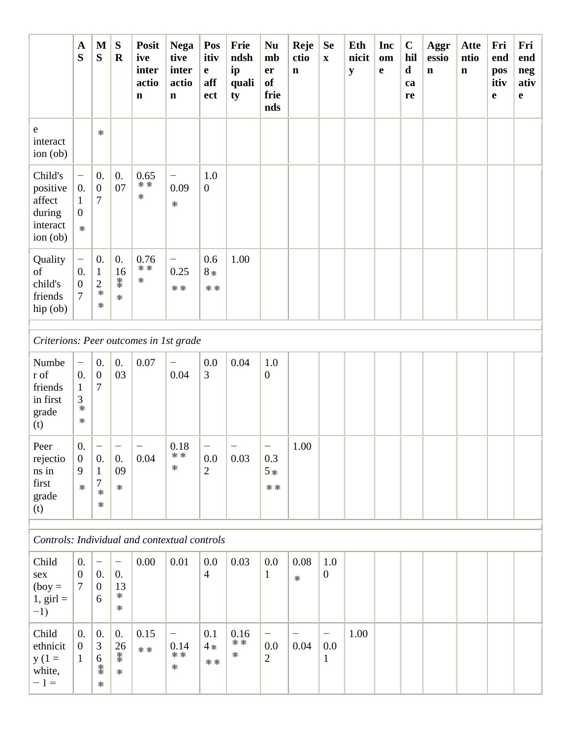|                                                                                 | $\mathbf A$<br>S                                        | $\mathbf{M}$<br>S                                               | S<br>$\bf R$                                          | <b>Posit</b><br>ive<br>inter<br>actio<br>$\mathbf n$ | <b>Nega</b><br>tive<br>inter<br>actio<br>$\mathbf n$ | Pos<br>itiv<br>$\mathbf e$<br>aff<br>ect          | Frie<br>ndsh<br>ip<br>quali<br>ty | <b>Nu</b><br>mb<br>er<br>of<br>frie<br>nds | Reje<br>ctio<br>$\mathbf n$ | <b>Se</b><br>$\boldsymbol{\mathrm{X}}$   | Eth<br>nicit<br>${\bf y}$ | Inc<br>om<br>$\mathbf e$ | $\mathbf C$<br>hil<br>$\mathbf d$<br>ca<br>re | Aggr<br>essio<br>$\mathbf n$ | Atte<br>ntio<br>$\mathbf n$ | Fri<br>end<br>pos<br>itiv<br>e | Fri<br>end<br>neg<br>ativ<br>$\mathbf e$ |
|---------------------------------------------------------------------------------|---------------------------------------------------------|-----------------------------------------------------------------|-------------------------------------------------------|------------------------------------------------------|------------------------------------------------------|---------------------------------------------------|-----------------------------------|--------------------------------------------|-----------------------------|------------------------------------------|---------------------------|--------------------------|-----------------------------------------------|------------------------------|-----------------------------|--------------------------------|------------------------------------------|
| e<br>interact<br>ion (ob)                                                       |                                                         | *                                                               |                                                       |                                                      |                                                      |                                                   |                                   |                                            |                             |                                          |                           |                          |                                               |                              |                             |                                |                                          |
| Child's<br>positive<br>affect<br>during<br>interact<br>ion (ob)                 | —<br>0.<br>$\mathbf{1}$<br>$\boldsymbol{0}$<br>米        | 0.<br>$\boldsymbol{0}$<br>$\overline{7}$                        | $\overline{0}$ .<br>07                                | 0.65<br>$* *$<br>柒                                   | $\qquad \qquad \longleftarrow$<br>0.09<br>*          | 1.0<br>$\boldsymbol{0}$                           |                                   |                                            |                             |                                          |                           |                          |                                               |                              |                             |                                |                                          |
| Quality<br>of<br>child's<br>friends<br>hip (ob)                                 | $\overline{\phantom{0}}$<br>0.<br>$\boldsymbol{0}$<br>7 | 0.<br>$\mathbf{1}$<br>$\frac{2}{*}$<br>淅                        | $\theta$ .<br>16<br>茶<br>*                            | 0.76<br>$* *$<br>*                                   | $\qquad \qquad -$<br>0.25<br>* *                     | 0.6<br>$8 *$<br>* *                               | 1.00                              |                                            |                             |                                          |                           |                          |                                               |                              |                             |                                |                                          |
| Criterions: Peer outcomes in 1st grade                                          |                                                         |                                                                 |                                                       |                                                      |                                                      |                                                   |                                   |                                            |                             |                                          |                           |                          |                                               |                              |                             |                                |                                          |
| Numbe<br>r of<br>friends<br>in first<br>grade<br>(t)                            | —<br>0.<br>$\mathbf{1}$<br>3<br>米<br>*                  | 0.<br>$\overline{0}$<br>7                                       | $\theta$ .<br>03                                      | 0.07                                                 | $\qquad \qquad -$<br>0.04                            | 0.0<br>3                                          | 0.04                              | 1.0<br>$\mathbf{0}$                        |                             |                                          |                           |                          |                                               |                              |                             |                                |                                          |
| Peer<br>rejectio<br>ns in<br>first<br>grade<br>(t)                              | $\overline{0}$ .<br>$\boldsymbol{0}$<br>9<br>*          | —<br>0.<br>$\mathbf{1}$<br>7<br>*<br>*                          | —<br>$\theta$ .<br>09<br>*                            | $\qquad \qquad -$<br>0.04                            | 0.18<br>* *<br>*                                     | $\overline{\phantom{0}}$<br>0.0<br>$\overline{2}$ | $\qquad \qquad -$<br>0.03         | —<br>0.3<br>$5*$<br>* *                    | 1.00                        |                                          |                           |                          |                                               |                              |                             |                                |                                          |
| Controls: Individual and contextual controls                                    |                                                         |                                                                 |                                                       |                                                      |                                                      |                                                   |                                   |                                            |                             |                                          |                           |                          |                                               |                              |                             |                                |                                          |
| Child<br>$\ensuremath{\textsc{sex}}\xspace$<br>$(boy =$<br>$1,$ girl =<br>$-1)$ | $\overline{0}$ .<br>$\boldsymbol{0}$<br>$\overline{7}$  | $\overline{\phantom{m}}$<br>$\theta$ .<br>$\boldsymbol{0}$<br>6 | $\qquad \qquad -$<br>$\overline{0}$ .<br>13<br>*<br>* | 0.00                                                 | 0.01                                                 | 0.0<br>$\overline{4}$                             | 0.03                              | 0.0<br>$\mathbf{1}$                        | 0.08<br>*                   | 1.0<br>$\boldsymbol{0}$                  |                           |                          |                                               |                              |                             |                                |                                          |
| Child<br>ethnicit<br>$y(1 =$<br>white,<br>$-1=$                                 | $\overline{0}$ .<br>$\boldsymbol{0}$<br>1               | 0.<br>3<br>$\sqrt{6}$<br>菜<br>淋                                 | $\overline{0}$ .<br>26<br>葇<br>*                      | 0.15<br>$* *$                                        | $\qquad \qquad -$<br>0.14<br>$* *$<br>*              | 0.1<br>$4 *$<br>* *                               | 0.16<br>$* *$<br>岑                | $\qquad \qquad -$<br>0.0<br>$\overline{2}$ | $\qquad \qquad -$<br>0.04   | $\qquad \qquad -$<br>0.0<br>$\mathbf{1}$ | 1.00                      |                          |                                               |                              |                             |                                |                                          |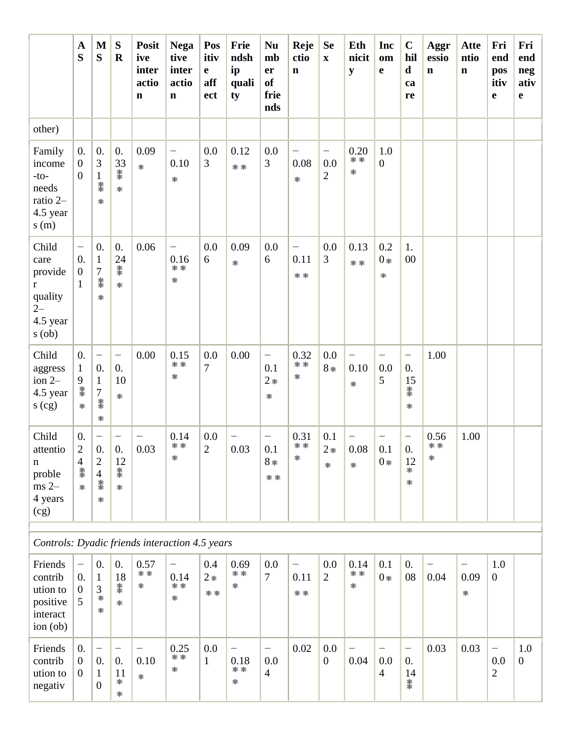|                                                                                      | $\mathbf A$<br>S                                     | $\mathbf{M}$<br>${\bf S}$                                                     | S<br>$\bf R$                                           | <b>Posit</b><br>ive<br>inter<br>actio<br>$\mathbf n$ | <b>Nega</b><br>tive<br>inter<br>actio<br>$\mathbf n$ | Pos<br>itiv<br>$\mathbf e$<br>aff<br>ect | Frie<br>ndsh<br>ip<br>quali<br>ty     | <b>Nu</b><br>mb<br>er<br>of<br>frie<br>nds   | Reje<br>ctio<br>$\mathbf n$           | <b>Se</b><br>$\mathbf X$   | Eth<br>nicit<br>y  | Inc<br>om<br>$\mathbf e$                   | $\mathbf C$<br>hil<br>$\mathbf d$<br>ca<br>re            | Aggr<br>essio<br>$\mathbf n$ | <b>Atte</b><br>ntio<br>$\mathbf n$    | Fri<br>end<br>pos<br>itiv<br>$\mathbf e$ | Fri<br>end<br>neg<br>ativ<br>e |
|--------------------------------------------------------------------------------------|------------------------------------------------------|-------------------------------------------------------------------------------|--------------------------------------------------------|------------------------------------------------------|------------------------------------------------------|------------------------------------------|---------------------------------------|----------------------------------------------|---------------------------------------|----------------------------|--------------------|--------------------------------------------|----------------------------------------------------------|------------------------------|---------------------------------------|------------------------------------------|--------------------------------|
| other)                                                                               |                                                      |                                                                               |                                                        |                                                      |                                                      |                                          |                                       |                                              |                                       |                            |                    |                                            |                                                          |                              |                                       |                                          |                                |
| Family<br>income<br>$-to-$<br>needs<br>ratio 2-<br>4.5 year<br>s(m)                  | 0.<br>$\boldsymbol{0}$<br>$\boldsymbol{0}$           | 0.<br>$\mathfrak{Z}$<br>$\mathbf{1}$<br>茶茶<br>*                               | $\overline{0}$ .<br>33<br>茶<br>*                       | 0.09<br>$\ast$                                       | $\overline{\phantom{0}}$<br>0.10<br>*                | 0.0<br>3                                 | 0.12<br>$* *$                         | 0.0<br>3                                     | $\overline{\phantom{0}}$<br>0.08<br>* | —<br>0.0<br>$\overline{2}$ | 0.20<br>$* *$<br>* | 1.0<br>$\overline{0}$                      |                                                          |                              |                                       |                                          |                                |
| Child<br>care<br>provide<br>$\mathbf{r}$<br>quality<br>$2 -$<br>4.5 year<br>$s$ (ob) | —<br>0.<br>$\boldsymbol{0}$<br>$\mathbf{1}$          | 0.<br>$\mathbf{1}$<br>$\tau$<br>茶茶<br>*                                       | $\overline{0}$ .<br>24<br>茶米<br>*                      | 0.06                                                 | $\qquad \qquad -$<br>0.16<br>* *<br>*                | 0.0<br>6                                 | 0.09<br>*                             | 0.0<br>6                                     | $\qquad \qquad -$<br>0.11<br>* *      | 0.0<br>3                   | 0.13<br>$* *$      | 0.2<br>$0*$<br>*                           | 1.<br>00                                                 |                              |                                       |                                          |                                |
| Child<br>aggress<br>ion $2-$<br>4.5 year<br>$s$ (cg)                                 | $\overline{0}$ .<br>$\mathbf{1}$<br>9<br>茶米<br>*     | $\qquad \qquad -$<br>0.<br>$\mathbf{1}$<br>7<br><br><br><br><br><br><br><br>* | —<br>$\overline{0}$ .<br>10<br>*                       | 0.00                                                 | 0.15<br>* *<br>氺                                     | 0.0<br>$\overline{7}$                    | 0.00                                  | $\overline{\phantom{0}}$<br>0.1<br>$2*$<br>氺 | 0.32<br>$* *$<br>*                    | 0.0<br>$8 *$               | —<br>0.10<br>*     | $\overline{\phantom{0}}$<br>0.0<br>5       | $\overline{\phantom{0}}$<br>0.<br>15<br>茶米<br>*          | 1.00                         |                                       |                                          |                                |
| Child<br>attentio<br>n<br>proble<br>$ms 2-$<br>4 years<br>(cg)                       | 0.<br>$\mathfrak{2}$<br>$\overline{4}$<br>茶茶<br>*    | —<br>$\overline{0}$ .<br>$\overline{c}$<br>$\overline{4}$<br>茶<br>*           | 0.<br>12<br>茶<br>*                                     | 0.03                                                 | 0.14<br>* *<br>*                                     | 0.0<br>$\overline{2}$                    | 0.03                                  | —<br>0.1<br>$8 *$<br>* *                     | 0.31<br>$* *$<br>*                    | 0.1<br>$2*$<br>*           | 0.08<br>*          | 0.1<br>$0*$                                | —<br>0.<br>12<br>*<br>*                                  | 0.56<br>* *<br>*             | 1.00                                  |                                          |                                |
| Controls: Dyadic friends interaction 4.5 years                                       |                                                      |                                                                               |                                                        |                                                      |                                                      |                                          |                                       |                                              |                                       |                            |                    |                                            |                                                          |                              |                                       |                                          |                                |
| Friends<br>contrib<br>ution to<br>positive<br>interact<br>ion (ob)                   | —<br>$\overline{0}$ .<br>$\overline{0}$<br>5         | $\overline{0}$ .<br>$\mathbf{1}$<br>3<br>*<br>*                               | $\overline{0}$ .<br>18<br>茶<br>*                       | 0.57<br>* *<br>柒                                     | $\qquad \qquad -$<br>0.14<br>* *<br>柒                | 0.4<br>$2*$<br>* *                       | 0.69<br>* *<br>*                      | 0.0<br>7                                     | $\qquad \qquad -$<br>0.11<br>* *      | 0.0<br>$\overline{2}$      | 0.14<br>* *<br>*   | 0.1<br>$0*$                                | $\overline{0}$ .<br>08                                   | $\qquad \qquad -$<br>0.04    | $\overline{\phantom{0}}$<br>0.09<br>氺 | 1.0<br>$\boldsymbol{0}$                  |                                |
| Friends<br>contrib<br>ution to<br>negativ                                            | $\overline{0}$ .<br>$\overline{0}$<br>$\overline{0}$ | $\overline{\phantom{0}}$<br>0.<br>$\mathbf{1}$<br>$\boldsymbol{0}$            | $\overline{\phantom{0}}$<br>$\theta$ .<br>11<br>*<br>* | 0.10<br>苯                                            | 0.25<br>* *<br>淅                                     | 0.0<br>$\mathbf{1}$                      | $\qquad \qquad -$<br>0.18<br>* *<br>岑 | $\qquad \qquad -$<br>0.0<br>$\overline{4}$   | 0.02                                  | 0.0<br>$\boldsymbol{0}$    | $\equiv$<br>0.04   | $\qquad \qquad -$<br>0.0<br>$\overline{4}$ | $\overline{\phantom{0}}$<br>$\overline{0}$ .<br>14<br>茶茶 | 0.03                         | 0.03                                  | 0.0<br>$\mathbf{2}$                      | 1.0<br>$\boldsymbol{0}$        |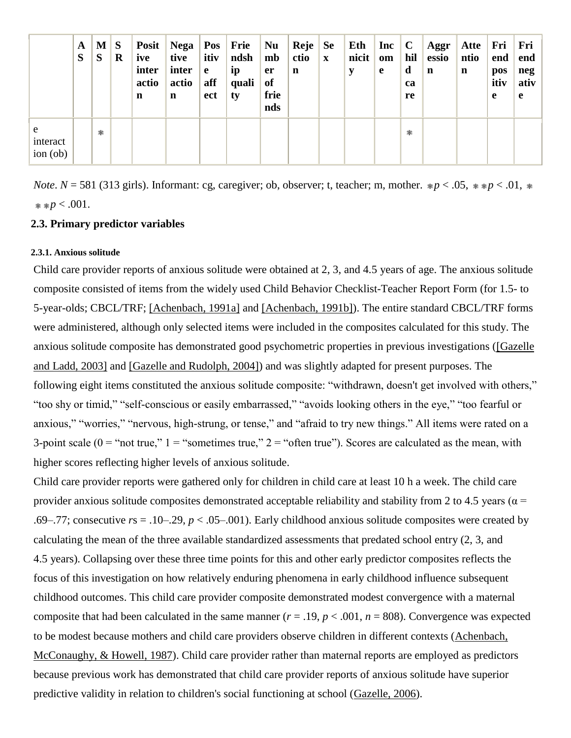|                           | A<br>S | $\mathbf{M}$<br>S | <sub>S</sub><br>$\bf R$ | <b>Posit</b><br>ive<br>inter<br>actio<br>n | Nega<br>tive<br>inter<br>actio<br>n | Pos<br>itiv<br>e<br>aff<br>ect | Frie<br>ndsh<br>ip<br>quali<br>ty | <b>Nu</b><br>mb<br>er<br>of<br>frie<br>nds | Reje<br>ctio<br>$\mathbf n$ | <b>Se</b><br>$\mathbf{X}$ | Eth<br>nicit<br>y | Inc<br>om<br>e | $\mathbf C$<br>hil<br>d<br>ca<br>re | $\overline{A}$ Aggr<br>essio<br>$\mathbf n$ | Atte<br>ntio<br>$\mathbf n$ | Fri<br>end<br>pos<br>itiv<br>e | Fri<br>end<br>neg<br>ativ<br>e |
|---------------------------|--------|-------------------|-------------------------|--------------------------------------------|-------------------------------------|--------------------------------|-----------------------------------|--------------------------------------------|-----------------------------|---------------------------|-------------------|----------------|-------------------------------------|---------------------------------------------|-----------------------------|--------------------------------|--------------------------------|
| e<br>interact<br>ion (ob) |        | 氺                 |                         |                                            |                                     |                                |                                   |                                            |                             |                           |                   |                | *                                   |                                             |                             |                                |                                |

*Note*.  $N = 581$  (313 girls). Informant: cg, caregiver; ob, observer; t, teacher; m, mother.  $*p < .05$ ,  $* * p < .01$ ,  $*$  $*$   $p$  < .001.

#### **2.3. Primary predictor variables**

#### **2.3.1. Anxious solitude**

Child care provider reports of anxious solitude were obtained at 2, 3, and 4.5 years of age. The anxious solitude composite consisted of items from the widely used Child Behavior Checklist-Teacher Report Form (for 1.5- to 5-year-olds; CBCL/TRF; [Achenbach, 1991a] and [Achenbach, 1991b]). The entire standard CBCL/TRF forms were administered, although only selected items were included in the composites calculated for this study. The anxious solitude composite has demonstrated good psychometric properties in previous investigations ([Gazelle and Ladd, 2003] and [Gazelle and Rudolph, 2004]) and was slightly adapted for present purposes. The following eight items constituted the anxious solitude composite: "withdrawn, doesn't get involved with others," "too shy or timid," "self-conscious or easily embarrassed," "avoids looking others in the eye," "too fearful or anxious," "worries," "nervous, high-strung, or tense," and "afraid to try new things." All items were rated on a 3-point scale ( $0 =$  "not true,"  $1 =$  "sometimes true,"  $2 =$  "often true"). Scores are calculated as the mean, with higher scores reflecting higher levels of anxious solitude.

Child care provider reports were gathered only for children in child care at least 10 h a week. The child care provider anxious solitude composites demonstrated acceptable reliability and stability from 2 to 4.5 years ( $\alpha$  = .69–.77; consecutive  $rs = .10-0.29$ ,  $p < .05-0.01$ ). Early childhood anxious solitude composites were created by calculating the mean of the three available standardized assessments that predated school entry (2, 3, and 4.5 years). Collapsing over these three time points for this and other early predictor composites reflects the focus of this investigation on how relatively enduring phenomena in early childhood influence subsequent childhood outcomes. This child care provider composite demonstrated modest convergence with a maternal composite that had been calculated in the same manner  $(r = .19, p < .001, n = 808)$ . Convergence was expected to be modest because mothers and child care providers observe children in different contexts (Achenbach, McConaughy, & Howell, 1987). Child care provider rather than maternal reports are employed as predictors because previous work has demonstrated that child care provider reports of anxious solitude have superior predictive validity in relation to children's social functioning at school (Gazelle, 2006).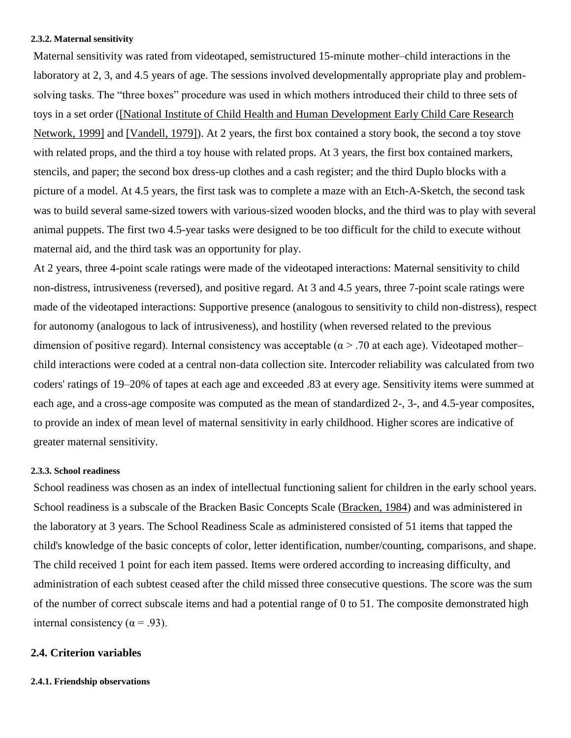#### **2.3.2. Maternal sensitivity**

Maternal sensitivity was rated from videotaped, semistructured 15-minute mother–child interactions in the laboratory at 2, 3, and 4.5 years of age. The sessions involved developmentally appropriate play and problemsolving tasks. The "three boxes" procedure was used in which mothers introduced their child to three sets of toys in a set order ([National Institute of Child Health and Human Development Early Child Care Research Network, 1999] and [Vandell, 1979]). At 2 years, the first box contained a story book, the second a toy stove with related props, and the third a toy house with related props. At 3 years, the first box contained markers, stencils, and paper; the second box dress-up clothes and a cash register; and the third Duplo blocks with a picture of a model. At 4.5 years, the first task was to complete a maze with an Etch-A-Sketch, the second task was to build several same-sized towers with various-sized wooden blocks, and the third was to play with several animal puppets. The first two 4.5-year tasks were designed to be too difficult for the child to execute without maternal aid, and the third task was an opportunity for play.

At 2 years, three 4-point scale ratings were made of the videotaped interactions: Maternal sensitivity to child non-distress, intrusiveness (reversed), and positive regard. At 3 and 4.5 years, three 7-point scale ratings were made of the videotaped interactions: Supportive presence (analogous to sensitivity to child non-distress), respect for autonomy (analogous to lack of intrusiveness), and hostility (when reversed related to the previous dimension of positive regard). Internal consistency was acceptable ( $\alpha$  > .70 at each age). Videotaped mother– child interactions were coded at a central non-data collection site. Intercoder reliability was calculated from two coders' ratings of 19–20% of tapes at each age and exceeded .83 at every age. Sensitivity items were summed at each age, and a cross-age composite was computed as the mean of standardized 2-, 3-, and 4.5-year composites, to provide an index of mean level of maternal sensitivity in early childhood. Higher scores are indicative of greater maternal sensitivity.

#### **2.3.3. School readiness**

School readiness was chosen as an index of intellectual functioning salient for children in the early school years. School readiness is a subscale of the Bracken Basic Concepts Scale (Bracken, 1984) and was administered in the laboratory at 3 years. The School Readiness Scale as administered consisted of 51 items that tapped the child's knowledge of the basic concepts of color, letter identification, number/counting, comparisons, and shape. The child received 1 point for each item passed. Items were ordered according to increasing difficulty, and administration of each subtest ceased after the child missed three consecutive questions. The score was the sum of the number of correct subscale items and had a potential range of 0 to 51. The composite demonstrated high internal consistency ( $\alpha$  = .93).

#### **2.4. Criterion variables**

#### **2.4.1. Friendship observations**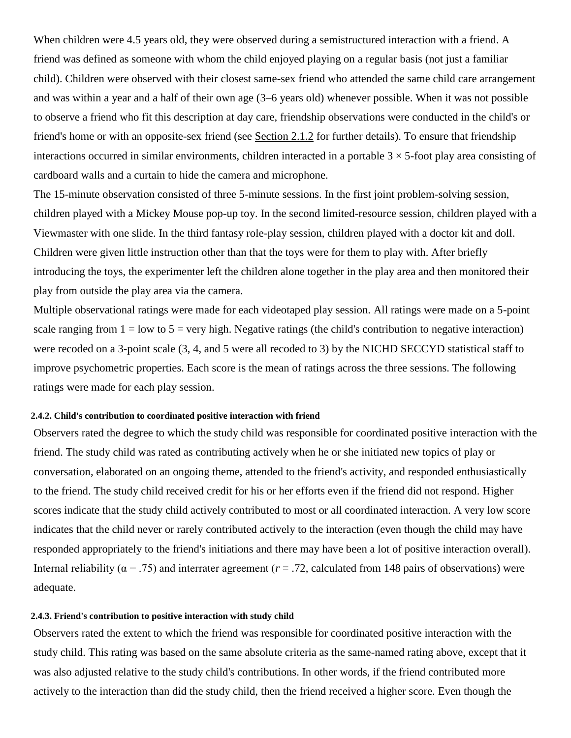When children were 4.5 years old, they were observed during a semistructured interaction with a friend. A friend was defined as someone with whom the child enjoyed playing on a regular basis (not just a familiar child). Children were observed with their closest same-sex friend who attended the same child care arrangement and was within a year and a half of their own age (3–6 years old) whenever possible. When it was not possible to observe a friend who fit this description at day care, friendship observations were conducted in the child's or friend's home or with an opposite-sex friend (see Section 2.1.2 for further details). To ensure that friendship interactions occurred in similar environments, children interacted in a portable  $3 \times 5$ -foot play area consisting of cardboard walls and a curtain to hide the camera and microphone.

The 15-minute observation consisted of three 5-minute sessions. In the first joint problem-solving session, children played with a Mickey Mouse pop-up toy. In the second limited-resource session, children played with a Viewmaster with one slide. In the third fantasy role-play session, children played with a doctor kit and doll. Children were given little instruction other than that the toys were for them to play with. After briefly introducing the toys, the experimenter left the children alone together in the play area and then monitored their play from outside the play area via the camera.

Multiple observational ratings were made for each videotaped play session. All ratings were made on a 5-point scale ranging from  $1 =$  low to  $5 =$  very high. Negative ratings (the child's contribution to negative interaction) were recoded on a 3-point scale (3, 4, and 5 were all recoded to 3) by the NICHD SECCYD statistical staff to improve psychometric properties. Each score is the mean of ratings across the three sessions. The following ratings were made for each play session.

#### **2.4.2. Child's contribution to coordinated positive interaction with friend**

Observers rated the degree to which the study child was responsible for coordinated positive interaction with the friend. The study child was rated as contributing actively when he or she initiated new topics of play or conversation, elaborated on an ongoing theme, attended to the friend's activity, and responded enthusiastically to the friend. The study child received credit for his or her efforts even if the friend did not respond. Higher scores indicate that the study child actively contributed to most or all coordinated interaction. A very low score indicates that the child never or rarely contributed actively to the interaction (even though the child may have responded appropriately to the friend's initiations and there may have been a lot of positive interaction overall). Internal reliability ( $\alpha$  = .75) and interrater agreement ( $r$  = .72, calculated from 148 pairs of observations) were adequate.

#### **2.4.3. Friend's contribution to positive interaction with study child**

Observers rated the extent to which the friend was responsible for coordinated positive interaction with the study child. This rating was based on the same absolute criteria as the same-named rating above, except that it was also adjusted relative to the study child's contributions. In other words, if the friend contributed more actively to the interaction than did the study child, then the friend received a higher score. Even though the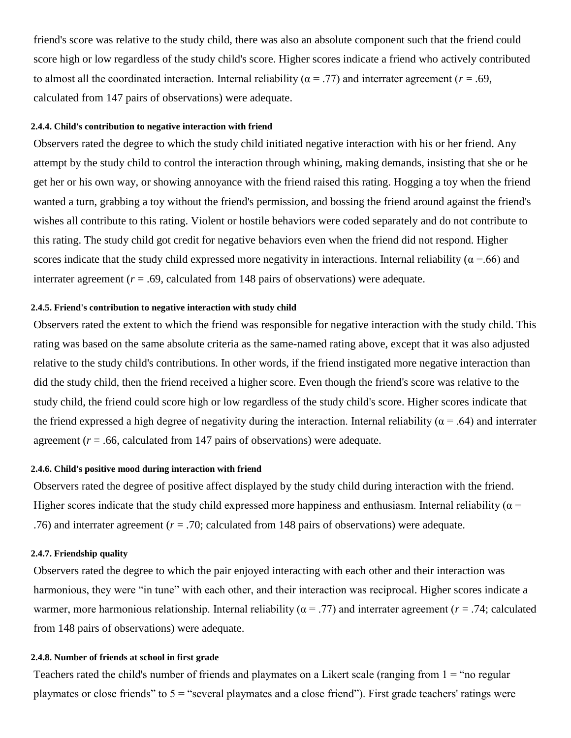friend's score was relative to the study child, there was also an absolute component such that the friend could score high or low regardless of the study child's score. Higher scores indicate a friend who actively contributed to almost all the coordinated interaction. Internal reliability ( $\alpha$  = .77) and interrater agreement ( $r$  = .69, calculated from 147 pairs of observations) were adequate.

#### **2.4.4. Child's contribution to negative interaction with friend**

Observers rated the degree to which the study child initiated negative interaction with his or her friend. Any attempt by the study child to control the interaction through whining, making demands, insisting that she or he get her or his own way, or showing annoyance with the friend raised this rating. Hogging a toy when the friend wanted a turn, grabbing a toy without the friend's permission, and bossing the friend around against the friend's wishes all contribute to this rating. Violent or hostile behaviors were coded separately and do not contribute to this rating. The study child got credit for negative behaviors even when the friend did not respond. Higher scores indicate that the study child expressed more negativity in interactions. Internal reliability ( $\alpha$  =.66) and interrater agreement ( $r = .69$ , calculated from 148 pairs of observations) were adequate.

#### **2.4.5. Friend's contribution to negative interaction with study child**

Observers rated the extent to which the friend was responsible for negative interaction with the study child. This rating was based on the same absolute criteria as the same-named rating above, except that it was also adjusted relative to the study child's contributions. In other words, if the friend instigated more negative interaction than did the study child, then the friend received a higher score. Even though the friend's score was relative to the study child, the friend could score high or low regardless of the study child's score. Higher scores indicate that the friend expressed a high degree of negativity during the interaction. Internal reliability ( $\alpha$  = .64) and interrater agreement  $(r = .66$ , calculated from 147 pairs of observations) were adequate.

#### **2.4.6. Child's positive mood during interaction with friend**

Observers rated the degree of positive affect displayed by the study child during interaction with the friend. Higher scores indicate that the study child expressed more happiness and enthusiasm. Internal reliability ( $\alpha$  = .76) and interrater agreement (*r* = .70; calculated from 148 pairs of observations) were adequate.

#### **2.4.7. Friendship quality**

Observers rated the degree to which the pair enjoyed interacting with each other and their interaction was harmonious, they were "in tune" with each other, and their interaction was reciprocal. Higher scores indicate a warmer, more harmonious relationship. Internal reliability ( $\alpha$  = .77) and interrater agreement ( $r$  = .74; calculated from 148 pairs of observations) were adequate.

### **2.4.8. Number of friends at school in first grade**

Teachers rated the child's number of friends and playmates on a Likert scale (ranging from  $1 =$  "no regular") playmates or close friends" to  $5 =$  "several playmates and a close friend"). First grade teachers' ratings were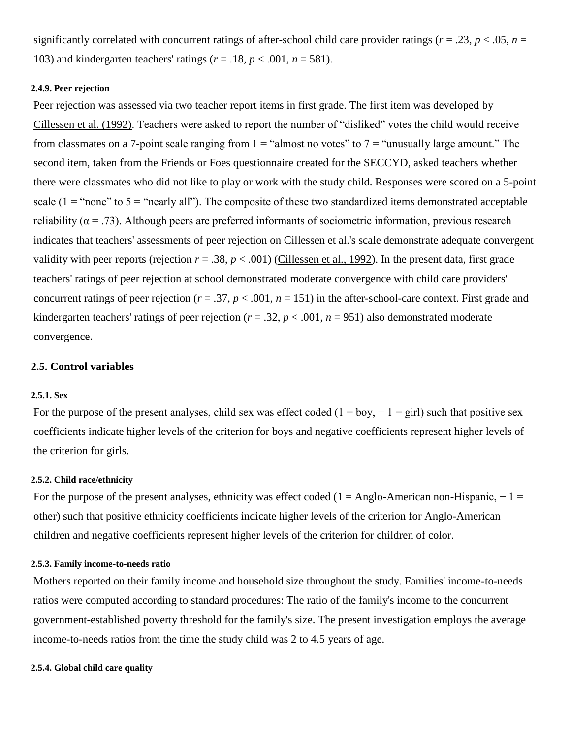significantly correlated with concurrent ratings of after-school child care provider ratings ( $r = .23$ ,  $p < .05$ ,  $n =$ 103) and kindergarten teachers' ratings  $(r = .18, p < .001, n = 581)$ .

#### **2.4.9. Peer rejection**

Peer rejection was assessed via two teacher report items in first grade. The first item was developed by Cillessen et al. (1992). Teachers were asked to report the number of "disliked" votes the child would receive from classmates on a 7-point scale ranging from  $1 =$  "almost no votes" to  $7 =$  "unusually large amount." The second item, taken from the Friends or Foes questionnaire created for the SECCYD, asked teachers whether there were classmates who did not like to play or work with the study child. Responses were scored on a 5-point scale (1 = "none" to 5 = "nearly all"). The composite of these two standardized items demonstrated acceptable reliability ( $\alpha$  = .73). Although peers are preferred informants of sociometric information, previous research indicates that teachers' assessments of peer rejection on Cillessen et al.'s scale demonstrate adequate convergent validity with peer reports (rejection  $r = .38$ ,  $p < .001$ ) (Cillessen et al., 1992). In the present data, first grade teachers' ratings of peer rejection at school demonstrated moderate convergence with child care providers' concurrent ratings of peer rejection ( $r = .37$ ,  $p < .001$ ,  $n = 151$ ) in the after-school-care context. First grade and kindergarten teachers' ratings of peer rejection ( $r = .32$ ,  $p < .001$ ,  $n = 951$ ) also demonstrated moderate convergence.

#### **2.5. Control variables**

#### **2.5.1. Sex**

For the purpose of the present analyses, child sex was effect coded  $(1 = boy, -1 = girl)$  such that positive sex coefficients indicate higher levels of the criterion for boys and negative coefficients represent higher levels of the criterion for girls.

#### **2.5.2. Child race/ethnicity**

For the purpose of the present analyses, ethnicity was effect coded (1 = Anglo-American non-Hispanic,  $-1 =$ other) such that positive ethnicity coefficients indicate higher levels of the criterion for Anglo-American children and negative coefficients represent higher levels of the criterion for children of color.

#### **2.5.3. Family income-to-needs ratio**

Mothers reported on their family income and household size throughout the study. Families' income-to-needs ratios were computed according to standard procedures: The ratio of the family's income to the concurrent government-established poverty threshold for the family's size. The present investigation employs the average income-to-needs ratios from the time the study child was 2 to 4.5 years of age.

#### **2.5.4. Global child care quality**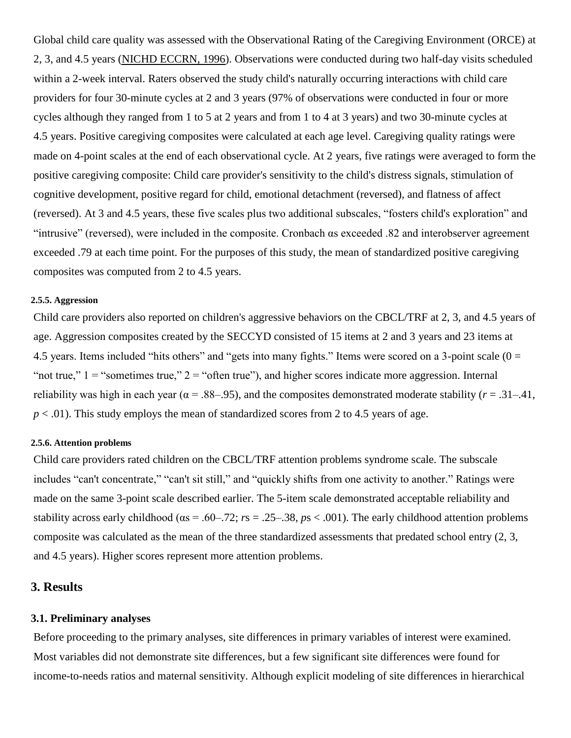Global child care quality was assessed with the Observational Rating of the Caregiving Environment (ORCE) at 2, 3, and 4.5 years (NICHD ECCRN, 1996). Observations were conducted during two half-day visits scheduled within a 2-week interval. Raters observed the study child's naturally occurring interactions with child care providers for four 30-minute cycles at 2 and 3 years (97% of observations were conducted in four or more cycles although they ranged from 1 to 5 at 2 years and from 1 to 4 at 3 years) and two 30-minute cycles at 4.5 years. Positive caregiving composites were calculated at each age level. Caregiving quality ratings were made on 4-point scales at the end of each observational cycle. At 2 years, five ratings were averaged to form the positive caregiving composite: Child care provider's sensitivity to the child's distress signals, stimulation of cognitive development, positive regard for child, emotional detachment (reversed), and flatness of affect (reversed). At 3 and 4.5 years, these five scales plus two additional subscales, "fosters child's exploration" and "intrusive" (reversed), were included in the composite. Cronbach αs exceeded .82 and interobserver agreement exceeded .79 at each time point. For the purposes of this study, the mean of standardized positive caregiving composites was computed from 2 to 4.5 years.

#### **2.5.5. Aggression**

Child care providers also reported on children's aggressive behaviors on the CBCL/TRF at 2, 3, and 4.5 years of age. Aggression composites created by the SECCYD consisted of 15 items at 2 and 3 years and 23 items at 4.5 years. Items included "hits others" and "gets into many fights." Items were scored on a 3-point scale (0 = "not true,"  $1 =$  "sometimes true,"  $2 =$  "often true"), and higher scores indicate more aggression. Internal reliability was high in each year ( $\alpha$  = .88–.95), and the composites demonstrated moderate stability ( $r = .31-41$ ,  $p < .01$ ). This study employs the mean of standardized scores from 2 to 4.5 years of age.

## **2.5.6. Attention problems**

Child care providers rated children on the CBCL/TRF attention problems syndrome scale. The subscale includes "can't concentrate," "can't sit still," and "quickly shifts from one activity to another." Ratings were made on the same 3-point scale described earlier. The 5-item scale demonstrated acceptable reliability and stability across early childhood (αs = .60–.72; *r*s = .25–.38, *p*s < .001). The early childhood attention problems composite was calculated as the mean of the three standardized assessments that predated school entry (2, 3, and 4.5 years). Higher scores represent more attention problems.

## **3. Results**

#### **3.1. Preliminary analyses**

Before proceeding to the primary analyses, site differences in primary variables of interest were examined. Most variables did not demonstrate site differences, but a few significant site differences were found for income-to-needs ratios and maternal sensitivity. Although explicit modeling of site differences in hierarchical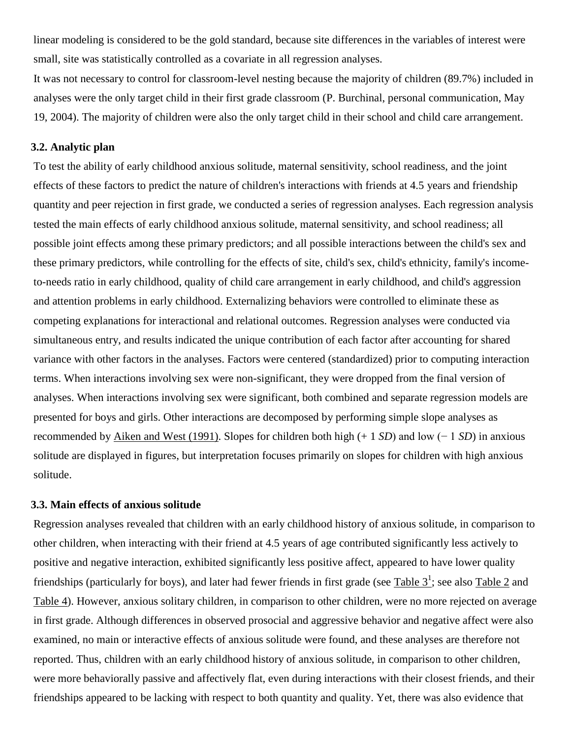linear modeling is considered to be the gold standard, because site differences in the variables of interest were small, site was statistically controlled as a covariate in all regression analyses.

It was not necessary to control for classroom-level nesting because the majority of children (89.7%) included in analyses were the only target child in their first grade classroom (P. Burchinal, personal communication, May 19, 2004). The majority of children were also the only target child in their school and child care arrangement.

#### **3.2. Analytic plan**

To test the ability of early childhood anxious solitude, maternal sensitivity, school readiness, and the joint effects of these factors to predict the nature of children's interactions with friends at 4.5 years and friendship quantity and peer rejection in first grade, we conducted a series of regression analyses. Each regression analysis tested the main effects of early childhood anxious solitude, maternal sensitivity, and school readiness; all possible joint effects among these primary predictors; and all possible interactions between the child's sex and these primary predictors, while controlling for the effects of site, child's sex, child's ethnicity, family's incometo-needs ratio in early childhood, quality of child care arrangement in early childhood, and child's aggression and attention problems in early childhood. Externalizing behaviors were controlled to eliminate these as competing explanations for interactional and relational outcomes. Regression analyses were conducted via simultaneous entry, and results indicated the unique contribution of each factor after accounting for shared variance with other factors in the analyses. Factors were centered (standardized) prior to computing interaction terms. When interactions involving sex were non-significant, they were dropped from the final version of analyses. When interactions involving sex were significant, both combined and separate regression models are presented for boys and girls. Other interactions are decomposed by performing simple slope analyses as recommended by Aiken and West (1991). Slopes for children both high (+ 1 *SD*) and low (− 1 *SD*) in anxious solitude are displayed in figures, but interpretation focuses primarily on slopes for children with high anxious solitude.

# **3.3. Main effects of anxious solitude**

Regression analyses revealed that children with an early childhood history of anxious solitude, in comparison to other children, when interacting with their friend at 4.5 years of age contributed significantly less actively to positive and negative interaction, exhibited significantly less positive affect, appeared to have lower quality friendships (particularly for boys), and later had fewer friends in first grade (see Table  $3^1$ ; see also Table 2 and Table 4). However, anxious solitary children, in comparison to other children, were no more rejected on average in first grade. Although differences in observed prosocial and aggressive behavior and negative affect were also examined, no main or interactive effects of anxious solitude were found, and these analyses are therefore not reported. Thus, children with an early childhood history of anxious solitude, in comparison to other children, were more behaviorally passive and affectively flat, even during interactions with their closest friends, and their friendships appeared to be lacking with respect to both quantity and quality. Yet, there was also evidence that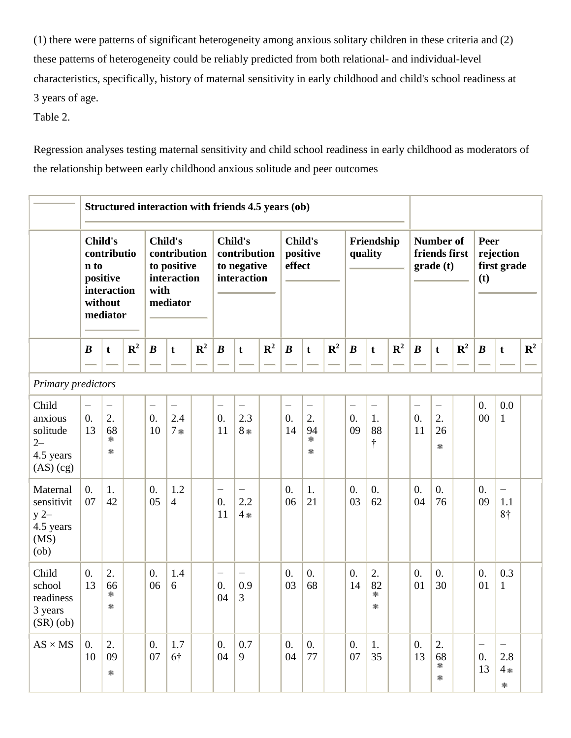(1) there were patterns of significant heterogeneity among anxious solitary children in these criteria and (2) these patterns of heterogeneity could be reliably predicted from both relational- and individual-level characteristics, specifically, history of maternal sensitivity in early childhood and child's school readiness at 3 years of age.

Table 2.

Regression analyses testing maternal sensitivity and child school readiness in early childhood as moderators of the relationship between early childhood anxious solitude and peer outcomes

|                                                                |                        | Structured interaction with friends 4.5 years (ob)            |  |                                             |                                                        |             |                                      |                                            |             |                               |                                                |             |                                             |                                           |             |                        |                                               |                |                                             |                                               |             |
|----------------------------------------------------------------|------------------------|---------------------------------------------------------------|--|---------------------------------------------|--------------------------------------------------------|-------------|--------------------------------------|--------------------------------------------|-------------|-------------------------------|------------------------------------------------|-------------|---------------------------------------------|-------------------------------------------|-------------|------------------------|-----------------------------------------------|----------------|---------------------------------------------|-----------------------------------------------|-------------|
|                                                                | Child's<br>n to        | contributio<br>positive<br>interaction<br>without<br>mediator |  | Child's<br>with                             | contribution<br>to positive<br>interaction<br>mediator |             | Child's                              | contribution<br>to negative<br>interaction |             | effect                        | Child's<br>positive                            |             | quality                                     | Friendship                                |             |                        | <b>Number of</b><br>friends first<br>grade(t) |                | Peer<br>(t)                                 | rejection<br>first grade                      |             |
|                                                                | $\boldsymbol{B}$       | $\mathbb{R}^2$<br>t<br>2.<br>68<br>*                          |  | $\boldsymbol{B}$                            | $\mathbf t$                                            | ${\bf R}^2$ | $\boldsymbol{B}$                     | $\mathbf t$                                | ${\bf R}^2$ | $\boldsymbol{B}$              | $\mathbf t$                                    | ${\bf R}^2$ | $\boldsymbol{B}$                            | $\mathbf t$                               | ${\bf R}^2$ | $\boldsymbol{B}$       | $\mathbf t$                                   | $\mathbb{R}^2$ | $\boldsymbol{B}$                            | $\mathbf t$                                   | ${\bf R}^2$ |
| Primary predictors                                             |                        |                                                               |  |                                             |                                                        |             |                                      |                                            |             |                               |                                                |             |                                             |                                           |             |                        |                                               |                |                                             |                                               |             |
| Child<br>anxious<br>solitude<br>$2 -$<br>4.5 years<br>(AS)(cg) | $\overline{0}$ .<br>13 | *                                                             |  | $\qquad \qquad -$<br>$\overline{0}$ .<br>10 | $\qquad \qquad -$<br>2.4<br>$7*$                       |             | $\overline{\phantom{0}}$<br>0.<br>11 | 2.3<br>$8*$                                |             | $\qquad \qquad -$<br>0.<br>14 | $\overline{\phantom{0}}$<br>2.<br>94<br>*<br>* |             | $\qquad \qquad -$<br>$\overline{0}$ .<br>09 | $\overline{\phantom{0}}$<br>1.<br>88<br>t |             | 0.<br>11               | $\overline{\phantom{0}}$<br>2.<br>26<br>*     |                | 0.<br>00                                    | 0.0<br>$\mathbf{1}$                           |             |
| Maternal<br>sensitivit<br>$y$ 2-<br>4.5 years<br>(MS)<br>(ob)  | 0.<br>07               | 1.<br>42                                                      |  | $\theta$ .<br>05                            | 1.2<br>$\overline{4}$                                  |             | $\overline{\phantom{0}}$<br>0.<br>11 | $\overline{\phantom{0}}$<br>2.2<br>$4*$    |             | $\overline{0}$ .<br>06        | 1.<br>21                                       |             | $\overline{0}$ .<br>03                      | $\overline{0}$ .<br>62                    |             | $\overline{0}$ .<br>04 | $\overline{0}$ .<br>76                        |                | 0.<br>09                                    | $\overline{\phantom{m}}$<br>1.1<br>$8\dagger$ |             |
| Child<br>school<br>readiness<br>3 years<br>(SR)(ob)            | 0.<br>13               | 2.<br>66<br>*<br>*                                            |  | $\overline{0}$ .<br>06                      | 1.4<br>6                                               |             | $\overline{\phantom{0}}$<br>0.<br>04 | 0.9<br>3                                   |             | 0.<br>03                      | $\overline{0}$ .<br>68                         |             | 0.<br>14                                    | 2.<br>82<br>*<br>*                        |             | $\overline{0}$ .<br>01 | 0.<br>30                                      |                | 0.<br>01                                    | 0.3<br>$\mathbf{1}$                           |             |
| $AS \times MS$                                                 | $\overline{0}$ .<br>10 | 2.<br>09<br>≭                                                 |  | $\overline{0}$ .<br>07                      | 1.7<br>6†                                              |             | $\overline{0}$ .<br>04               | 0.7<br>9                                   |             | 0.<br>04                      | 0.<br>77                                       |             | 0.<br>07                                    | 1.<br>35                                  |             | $\overline{0}$ .<br>13 | 2.<br>68<br>≭<br>≭                            |                | $\qquad \qquad -$<br>$\overline{0}$ .<br>13 | $\qquad \qquad -$<br>2.8<br>$4*$<br>*         |             |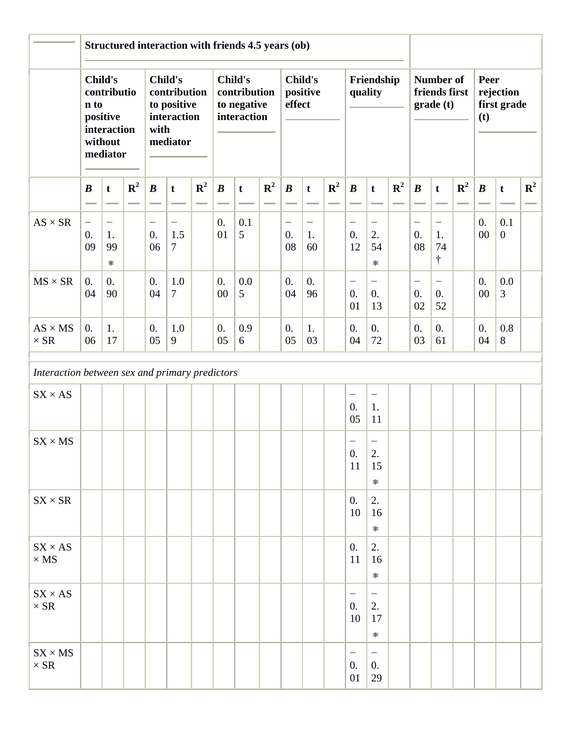|                                                |                        |                                           |                |                               |                                                       |             |                        | Structured interaction with friends 4.5 years (ob)    |             |                                      |                                      |             |                                                    |                                       |             |                               |                                                   |                |                            |                          |             |
|------------------------------------------------|------------------------|-------------------------------------------|----------------|-------------------------------|-------------------------------------------------------|-------------|------------------------|-------------------------------------------------------|-------------|--------------------------------------|--------------------------------------|-------------|----------------------------------------------------|---------------------------------------|-------------|-------------------------------|---------------------------------------------------|----------------|----------------------------|--------------------------|-------------|
|                                                | Child's<br>n to        | contributio<br>positive<br>interaction    |                | with                          | Child's<br>contribution<br>to positive<br>interaction |             |                        | Child's<br>contribution<br>to negative<br>interaction |             | effect                               | Child's<br>positive                  |             |                                                    | Friendship<br>quality                 |             |                               | <b>Number of</b><br>friends first<br>grade (t)    |                | Peer<br>(t)                | rejection<br>first grade |             |
|                                                |                        | without<br>mediator                       |                |                               | mediator                                              |             |                        |                                                       |             |                                      |                                      |             |                                                    |                                       |             |                               |                                                   |                |                            |                          |             |
|                                                | $\boldsymbol{B}$       | $\mathbf t$                               | $\mathbb{R}^2$ | $\boldsymbol{B}$              | $\mathbf t$                                           | ${\bf R}^2$ | $\boldsymbol{B}$       | $\mathbf t$                                           | ${\bf R}^2$ | $\boldsymbol{B}$                     | $\mathbf t$                          | ${\bf R}^2$ | $\boldsymbol{B}$                                   | $\mathbf t$                           | ${\bf R}^2$ | $\boldsymbol{B}$              | $\mathbf t$                                       | $\mathbb{R}^2$ | $\boldsymbol{B}$           | $\mathbf t$              | ${\bf R}^2$ |
| $AS \times SR$                                 | —<br>0.<br>09          | $\overline{\phantom{0}}$<br>1.<br>99<br>* |                | $\qquad \qquad -$<br>0.<br>06 | $\qquad \qquad -$<br>1.5<br>$\tau$                    |             | $\overline{0}$ .<br>01 | 0.1<br>5                                              |             | $\overline{\phantom{0}}$<br>0.<br>08 | $\overline{\phantom{m}}$<br>1.<br>60 |             | $\qquad \qquad -$<br>$\overline{0}$ .<br>12        | $\qquad \qquad -$<br>2.<br>54<br>*    |             | 0.<br>08                      | $\overline{\phantom{m}}$<br>1.<br>74<br>$\dagger$ |                | $\overline{0}$ .<br>$00\,$ | 0.1<br>$\boldsymbol{0}$  |             |
| $MS \times SR$                                 | $\overline{0}$ .<br>04 | $\theta$ .<br>90                          |                | 0.<br>04                      | 1.0<br>$\overline{7}$                                 |             | $\overline{0}$ .<br>00 | 0.0<br>5                                              |             | 0.<br>04                             | $\overline{0}$ .<br>96               |             | $\overline{\phantom{m}}$<br>$\overline{0}$ .<br>01 | $\qquad \qquad -$<br>$\theta$ .<br>13 |             | $\qquad \qquad -$<br>0.<br>02 | $\overline{\phantom{m}}$<br>0.<br>52              |                | $\overline{0}$ .<br>00     | $0.0\,$<br>3             |             |
| $AS \times MS$<br>$\times$ SR                  | $\overline{0}$ .<br>06 | 1.<br>17                                  |                | $\overline{0}$ .<br>05        | 1.0<br>9                                              |             | $\overline{0}$ .<br>05 | 0.9<br>6                                              |             | 0.<br>05                             | 1.<br>03                             |             | $\overline{0}$ .<br>04                             | $\overline{0}$ .<br>72                |             | $\overline{0}$ .<br>03        | $\overline{0}$ .<br>61                            |                | $\overline{0}$ .<br>04     | 0.8<br>8                 |             |
| Interaction between sex and primary predictors |                        |                                           |                |                               |                                                       |             |                        |                                                       |             |                                      |                                      |             |                                                    |                                       |             |                               |                                                   |                |                            |                          |             |
| $SX \times AS$                                 |                        |                                           |                |                               |                                                       |             |                        |                                                       |             |                                      |                                      |             | $\overline{\phantom{m}}$<br>$\overline{0}$ .<br>05 | $\qquad \qquad -$<br>1.<br>11         |             |                               |                                                   |                |                            |                          |             |
| $SX \times MS$                                 |                        |                                           |                |                               |                                                       |             |                        |                                                       |             |                                      |                                      |             | $\overline{\phantom{0}}$<br>$\overline{0}$ .<br>11 | 2.<br>15<br>*                         |             |                               |                                                   |                |                            |                          |             |
| $SX \times SR$                                 |                        |                                           |                |                               |                                                       |             |                        |                                                       |             |                                      |                                      |             | $0$ .<br>10                                        | 2.<br>16<br>*                         |             |                               |                                                   |                |                            |                          |             |
| $SX \times AS$<br>$\times{\rm MS}$             |                        |                                           |                |                               |                                                       |             |                        |                                                       |             |                                      |                                      |             | $\overline{0}$ .<br>11                             | 2.<br>16<br>本                         |             |                               |                                                   |                |                            |                          |             |
| $SX \times AS$<br>$\times$ SR                  |                        |                                           |                |                               |                                                       |             |                        |                                                       |             |                                      |                                      |             | $\overline{\phantom{m}}$<br>$\overline{0}$ .<br>10 | $\qquad \qquad -$<br>2.<br>17<br>本    |             |                               |                                                   |                |                            |                          |             |
| $SX \times MS$<br>$\times$ SR                  |                        |                                           |                |                               |                                                       |             |                        |                                                       |             |                                      |                                      |             | $\overline{\phantom{0}}$<br>$\overline{0}$ .<br>01 | $\qquad \qquad -$<br>$\theta$ .<br>29 |             |                               |                                                   |                |                            |                          |             |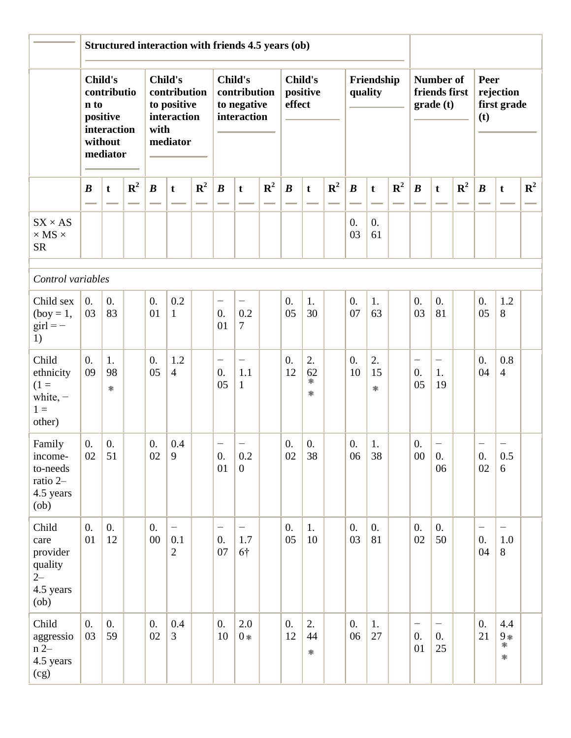|                                                                    |                        |                                                               |                       |                            |                                                                   |             |                                      | Structured interaction with friends 4.5 years (ob)    |             |                  |                        |             |                        |                        |             |                                                    |                                                    |                |                                             |                                      |             |
|--------------------------------------------------------------------|------------------------|---------------------------------------------------------------|-----------------------|----------------------------|-------------------------------------------------------------------|-------------|--------------------------------------|-------------------------------------------------------|-------------|------------------|------------------------|-------------|------------------------|------------------------|-------------|----------------------------------------------------|----------------------------------------------------|----------------|---------------------------------------------|--------------------------------------|-------------|
|                                                                    | Child's<br>n to        | contributio<br>positive<br>interaction<br>without<br>mediator |                       | with                       | Child's<br>contribution<br>to positive<br>interaction<br>mediator |             |                                      | Child's<br>contribution<br>to negative<br>interaction |             | effect           | Child's<br>positive    |             | quality                | Friendship             |             |                                                    | Number of<br>friends first<br>grade (t)            |                | Peer<br>(t)                                 | rejection<br>first grade             |             |
|                                                                    | $\boldsymbol{B}$       | $\mathbf t$                                                   | ${\bf R}^2$<br>$\sim$ | $\boldsymbol{B}$           | $\mathbf t$                                                       | ${\bf R}^2$ | $\boldsymbol{B}$                     | $\mathbf t$                                           | ${\bf R}^2$ | $\boldsymbol{B}$ | $\mathbf t$<br>$\sim$  | ${\bf R}^2$ | $\boldsymbol{B}$       | $\mathbf t$            | ${\bf R}^2$ | $\boldsymbol{B}$<br>$\sim$                         | $\mathbf t$                                        | $\mathbb{R}^2$ | $\boldsymbol{B}$                            | $\mathbf t$                          | ${\bf R}^2$ |
| $SX \times AS$<br>$\times$ MS $\times$<br><b>SR</b>                |                        |                                                               |                       |                            |                                                                   |             |                                      |                                                       |             |                  |                        |             | $\overline{0}$ .<br>03 | $\overline{0}$ .<br>61 |             |                                                    |                                                    |                |                                             |                                      |             |
| Control variables                                                  |                        |                                                               |                       |                            |                                                                   |             |                                      |                                                       |             |                  |                        |             |                        |                        |             |                                                    |                                                    |                |                                             |                                      |             |
| Child sex<br>$(boy = 1,$<br>$girl = -$<br>1)                       | $\overline{0}$ .<br>03 | $\overline{0}$ .<br>83                                        |                       | $\overline{0}$ .<br>01     | 0.2<br>$\mathbf{1}$                                               |             | 0.<br>01                             | $\overline{\phantom{0}}$<br>0.2<br>7                  |             | 0.<br>05         | 1.<br>30               |             | $\overline{0}$ .<br>07 | 1.<br>63               |             | 0.<br>03                                           | $\overline{0}$ .<br>81                             |                | $\overline{0}$ .<br>05                      | 1.2<br>8                             |             |
| Child<br>ethnicity<br>$(1 =$<br>white, $-$<br>$1 =$<br>other)      | $\overline{0}$ .<br>09 | 1.<br>98<br>*                                                 |                       | $\overline{0}$ .<br>05     | 1.2<br>$\overline{4}$                                             |             | $\overline{\phantom{0}}$<br>0.<br>05 | $\overline{\phantom{m}}$<br>1.1<br>$\mathbf{1}$       |             | 0.<br>12         | 2.<br>62<br>*<br>*     |             | $\overline{0}$ .<br>10 | 2.<br>15<br>*          |             | $\overline{\phantom{m}}$<br>0.<br>05               | $\overline{\phantom{m}}$<br>1.<br>19               |                | $\overline{0}$ .<br>04                      | 0.8<br>$\overline{4}$                |             |
| Family<br>income-<br>to-needs<br>ratio 2-<br>4.5 years<br>(ob)     | 0.<br>02               | 0.<br>51                                                      |                       | 0.<br>02                   | 0.4<br>9                                                          |             | $\overline{\phantom{0}}$<br>0.<br>01 | 0.2<br>$\overline{0}$                                 |             | 0.<br>02         | $\overline{0}$ .<br>38 |             | $\overline{0}$ .<br>06 | 1.<br>38               |             | 0.<br>$00\,$                                       | $\qquad \qquad -$<br>$\overline{0}$ .<br>06        |                | 0.<br>02                                    | 0.5<br>6                             |             |
| Child<br>care<br>provider<br>quality<br>$2 -$<br>4.5 years<br>(ob) | 0.<br>01               | $\overline{0}$ .<br>12                                        |                       | $\overline{0}$ .<br>$00\,$ | $\qquad \qquad -$<br>0.1<br>$\overline{2}$                        |             | $\qquad \qquad -$<br>0.<br>07        | $\overline{\phantom{0}}$<br>1.7<br>6†                 |             | 0.<br>05         | 1.<br>10               |             | $\overline{0}$ .<br>03 | $\overline{0}$ .<br>81 |             | 0.<br>02                                           | $\overline{0}$ .<br>50                             |                | $\qquad \qquad -$<br>$\overline{0}$ .<br>04 | $\overline{\phantom{0}}$<br>1.0<br>8 |             |
| Child<br>aggressio<br>$n2-$<br>4.5 years<br>(cg)                   | 0.<br>03               | $\overline{0}$ .<br>59                                        |                       | $\overline{0}$ .<br>02     | 0.4<br>3                                                          |             | $\overline{0}$ .<br>10               | 2.0<br>$0*$                                           |             | 0.<br>12         | 2.<br>44<br>*          |             | $\overline{0}$ .<br>06 | 1.<br>27               |             | $\overline{\phantom{m}}$<br>$\overline{0}$ .<br>01 | $\overline{\phantom{m}}$<br>$\overline{0}$ .<br>25 |                | $\overline{0}$ .<br>21                      | 4.4<br>9*<br>*                       |             |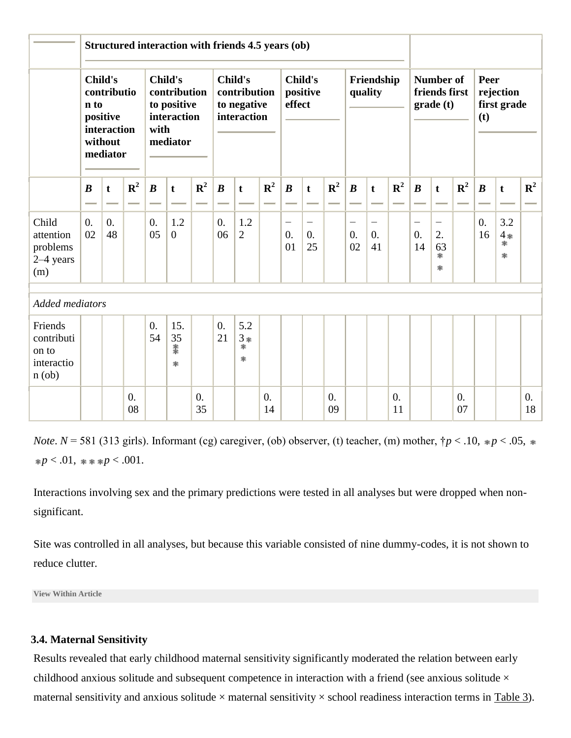|                                                          |                  |                                                                          |                        |                        |                                                                   |                  |                                              | Structured interaction with friends 4.5 years (ob)    |                        |                                      |                                                    |                        |                                                    |                                              |             |                                              |                                         |                        |                        |                          |                        |
|----------------------------------------------------------|------------------|--------------------------------------------------------------------------|------------------------|------------------------|-------------------------------------------------------------------|------------------|----------------------------------------------|-------------------------------------------------------|------------------------|--------------------------------------|----------------------------------------------------|------------------------|----------------------------------------------------|----------------------------------------------|-------------|----------------------------------------------|-----------------------------------------|------------------------|------------------------|--------------------------|------------------------|
|                                                          | n to             | Child's<br>contributio<br>positive<br>interaction<br>without<br>mediator |                        | with                   | Child's<br>contribution<br>to positive<br>interaction<br>mediator |                  |                                              | Child's<br>contribution<br>to negative<br>interaction |                        | effect                               | <b>Child's</b><br>positive                         |                        |                                                    | Friendship<br>quality                        |             |                                              | Number of<br>friends first<br>grade(t)  |                        | Peer<br>(t)            | rejection<br>first grade |                        |
|                                                          | $\boldsymbol{B}$ | $\mathbf t$<br>--                                                        | ${\bf R}^2$            | $\boldsymbol{B}$       | $\mathbf t$                                                       | ${\bf R}^2$      | $\boldsymbol{B}$<br><b>Contract Contract</b> | $\mathbf{t}$                                          | ${\bf R}^2$            | $\boldsymbol{B}$                     | $\mathbf t$                                        | $\mathbb{R}^2$         | $\boldsymbol{B}$                                   | $\mathbf t$                                  | ${\bf R}^2$ | $\boldsymbol{B}$                             | $\mathbf t$                             | ${\bf R}^2$            | $\boldsymbol{B}$       | $\mathbf t$              | $\mathbf{R}^2$         |
| Child<br>attention<br>problems<br>2-4 years<br>(m)       | $\theta$ .<br>02 | $\overline{0}$ .<br>48                                                   |                        | $\overline{0}$ .<br>05 | 1.2<br>$\mathbf{0}$                                               |                  | $\overline{0}$ .<br>06                       | 1.2<br>$\overline{2}$                                 |                        | $\overline{\phantom{0}}$<br>0.<br>01 | $\overline{\phantom{0}}$<br>$\overline{0}$ .<br>25 |                        | $\overline{\phantom{0}}$<br>$\overline{0}$ .<br>02 | $\overline{\phantom{0}}$<br>$\theta$ .<br>41 |             | $\overline{\phantom{0}}$<br>$\theta$ .<br>14 | $\qquad \qquad -$<br>2.<br>63<br>妆<br>* |                        | $\overline{0}$ .<br>16 | 3.2<br>$4*$<br>*<br>*    |                        |
| <b>Added</b> mediators                                   |                  |                                                                          |                        |                        |                                                                   |                  |                                              |                                                       |                        |                                      |                                                    |                        |                                                    |                                              |             |                                              |                                         |                        |                        |                          |                        |
| Friends<br>contributi<br>on to<br>interactio<br>$n$ (ob) |                  |                                                                          |                        | $\overline{0}$ .<br>54 | 15.<br>35<br>茶米<br>*                                              |                  | $\overline{0}$ .<br>21                       | 5.2<br>$3*$<br>*<br>*                                 |                        |                                      |                                                    |                        |                                                    |                                              |             |                                              |                                         |                        |                        |                          |                        |
|                                                          |                  |                                                                          | $\overline{0}$ .<br>08 |                        |                                                                   | $\theta$ .<br>35 |                                              |                                                       | $\overline{0}$ .<br>14 |                                      |                                                    | $\overline{0}$ .<br>09 |                                                    |                                              | 0.<br>11    |                                              |                                         | $\overline{0}$ .<br>07 |                        |                          | $\overline{0}$ .<br>18 |

*Note*.  $N = 581$  (313 girls). Informant (cg) caregiver, (ob) observer, (t) teacher, (m) mother,  $\uparrow p < .10$ ,  $\ast p < .05$ ,  $\ast$  $*p < .01, **p < .001.$ 

Interactions involving sex and the primary predictions were tested in all analyses but were dropped when nonsignificant.

Site was controlled in all analyses, but because this variable consisted of nine dummy-codes, it is not shown to reduce clutter.

**[View Within Article](http://www.sciencedirect.com/science?_ob=ArticleURL&_udi=B6W52-4P89846-3&_user=628623&_coverDate=12%2F31%2F2007&_rdoc=12&_fmt=high&_orig=browse&_srch=doc-info(%23toc%236558%232007%23999719994%23668138%23FLA%23display%23Volume)&_cdi=6558&_sort=d&_docanchor=&_ct=15&_acct=C000033084&_version=1&_urlVersion=0&_userid=628623&md5=13127ee4b21da10afef57e9851f54379#tbl2)**

#### **3.4. Maternal Sensitivity**

Results revealed that early childhood maternal sensitivity significantly moderated the relation between early childhood anxious solitude and subsequent competence in interaction with a friend (see anxious solitude  $\times$ maternal sensitivity and anxious solitude  $\times$  maternal sensitivity  $\times$  school readiness interaction terms in Table 3).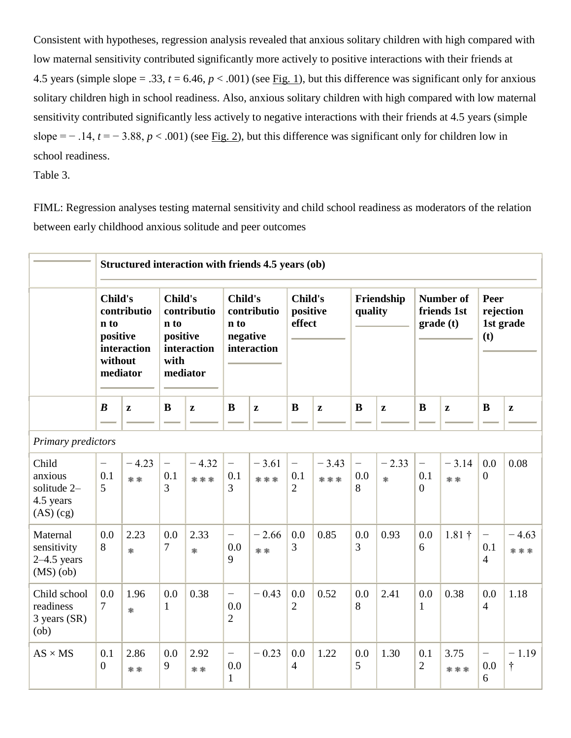Consistent with hypotheses, regression analysis revealed that anxious solitary children with high compared with low maternal sensitivity contributed significantly more actively to positive interactions with their friends at 4.5 years (simple slope = .33,  $t = 6.46$ ,  $p < .001$ ) (see Fig. 1), but this difference was significant only for anxious solitary children high in school readiness. Also, anxious solitary children with high compared with low maternal sensitivity contributed significantly less actively to negative interactions with their friends at 4.5 years (simple slope =  $-$  .14,  $t = -3.88$ ,  $p < .001$ ) (see Fig. 2), but this difference was significant only for children low in school readiness.

Table 3.

FIML: Regression analyses testing maternal sensitivity and child school readiness as moderators of the relation between early childhood anxious solitude and peer outcomes

|                                                               |                                        |                                            |                                      | Structured interaction with friends 4.5 years (ob) |                                            |                            |                                            |                  |                                      |              |                                             |                                 |                                            |                      |
|---------------------------------------------------------------|----------------------------------------|--------------------------------------------|--------------------------------------|----------------------------------------------------|--------------------------------------------|----------------------------|--------------------------------------------|------------------|--------------------------------------|--------------|---------------------------------------------|---------------------------------|--------------------------------------------|----------------------|
|                                                               | Child's<br>n to<br>positive<br>without | contributio<br>interaction                 | Child's<br>n to<br>positive<br>with  | contributio<br>interaction<br>mediator             | Child's<br>n to<br>negative                | contributio<br>interaction | Child's<br>positive<br>effect              |                  | quality                              | Friendship   | grade(t)                                    | <b>Number of</b><br>friends 1st | Peer<br>rejection<br>(t)                   | 1st grade            |
|                                                               | $\boldsymbol{B}$                       | mediator<br>$\mathbf{z}$<br>$-4.23$<br>* * |                                      | $\mathbf{z}$                                       | B                                          | $\mathbf{z}$               | B                                          | $\mathbf{z}$     | $\bf{B}$                             | $\mathbf{z}$ | $\bf{B}$                                    | $\mathbf{z}$                    | $\bf{B}$                                   | $\mathbf{z}$         |
| Primary predictors                                            |                                        |                                            |                                      |                                                    |                                            |                            |                                            |                  |                                      |              |                                             |                                 |                                            |                      |
| Child<br>anxious<br>solitude 2-<br>4.5 years<br>$(AS)$ $(cg)$ | $\qquad \qquad -$<br>0.1<br>5          |                                            | $\overline{\phantom{0}}$<br>0.1<br>3 | $-4.32$<br>***                                     | $\overline{\phantom{m}}$<br>0.1<br>3       | $-3.61$<br>* * *           | $\qquad \qquad -$<br>0.1<br>$\overline{2}$ | $-3.43$<br>* * * | $\overline{\phantom{0}}$<br>0.0<br>8 | $-2.33$<br>* | $\overline{\phantom{0}}$<br>0.1<br>$\Omega$ | $-3.14$<br>* *                  | 0.0<br>$\boldsymbol{0}$                    | 0.08                 |
| Maternal<br>sensitivity<br>$2-4.5$ years<br>(MS)(ob)          | 0.0<br>8                               | 2.23<br>$\ast$                             | 0.0<br>7                             | 2.33<br>*                                          | $\qquad \qquad -$<br>0.0<br>9              | $-2.66$<br>* *             | 0.0<br>3                                   | 0.85             | 0.0<br>3                             | 0.93         | 0.0<br>6                                    | $1.81 \;{\rm \ddagger}$         | $\qquad \qquad -$<br>0.1<br>$\overline{4}$ | $-4.63$<br>***       |
| Child school<br>readiness<br>3 years (SR)<br>(ob)             | 0.0<br>$\overline{7}$                  | 1.96<br>*                                  | 0.0<br>$\mathbf{1}$                  | 0.38                                               | $\qquad \qquad -$<br>0.0<br>$\overline{2}$ | $-0.43$                    | 0.0<br>$\overline{2}$                      | 0.52             | 0.0<br>8                             | 2.41         | 0.0<br>1                                    | 0.38                            | 0.0<br>$\overline{4}$                      | 1.18                 |
| $AS \times MS$                                                | 0.1<br>$\overline{0}$                  | 2.86<br>* *                                | 0.0<br>9                             | 2.92<br>* *                                        | $\qquad \qquad -$<br>0.0<br>$\mathbf{1}$   | $-0.23$                    | 0.0<br>$\overline{4}$                      | 1.22             | 0.0<br>5                             | 1.30         | 0.1<br>2                                    | 3.75<br>* * *                   | $\overline{\phantom{m}}$<br>0.0<br>6       | $-1.19$<br>$\dagger$ |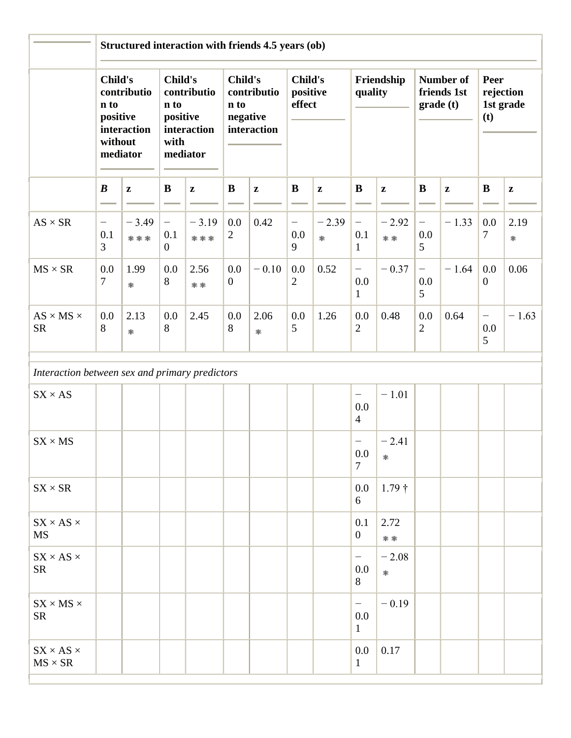|                                                     |                                        |                                                                                    |                                                 |                                        |                             | Structured interaction with friends 4.5 years (ob) |                                      |                   |                                                       |                    |                                      |                          |                               |           |
|-----------------------------------------------------|----------------------------------------|------------------------------------------------------------------------------------|-------------------------------------------------|----------------------------------------|-----------------------------|----------------------------------------------------|--------------------------------------|-------------------|-------------------------------------------------------|--------------------|--------------------------------------|--------------------------|-------------------------------|-----------|
|                                                     | Child's<br>n to<br>positive<br>without | contributio<br>interaction<br>mediator                                             | Child's<br>n to<br>positive<br>with             | contributio<br>interaction<br>mediator | Child's<br>n to<br>negative | contributio<br>interaction                         | Child's<br>positive<br>effect        |                   | quality                                               | Friendship         | grade (t)                            | Number of<br>friends 1st | Peer<br>rejection<br>(t)      | 1st grade |
|                                                     | $\boldsymbol{B}$                       | $\mathbf{z}$                                                                       | B                                               | $\mathbf{z}$                           | $\bf{B}$                    | $\mathbf{Z}$                                       | $\bf{B}$                             | $\mathbf{z}$      | B                                                     | $\mathbf{z}$       | B                                    | $\mathbf{z}$             | B                             | ${\bf z}$ |
| $AS \times SR$                                      | $\qquad \qquad -$<br>0.1<br>3          | $-3.49$<br>* * *                                                                   | $\overline{\phantom{0}}$<br>0.1<br>$\mathbf{0}$ | $-3.19$<br>***                         | 0.0<br>$\mathbf{2}$         | 0.42                                               | $\overline{\phantom{m}}$<br>0.0<br>9 | $-2.39$<br>$\ast$ | $\overline{\phantom{0}}$<br>0.1<br>$\mathbf{1}$       | $-2.92$<br>* *     | $\overline{\phantom{0}}$<br>0.0<br>5 | $-1.33$                  | 0.0<br>$\tau$                 | 2.19<br>本 |
| $MS \times SR$                                      | 0.0<br>7                               | 1.99<br>0.0<br>2.56<br>$8\,$<br>$\ast$<br>* *<br>2.45<br>2.13<br>0.0<br>$8\,$<br>* |                                                 |                                        | 0.0<br>$\overline{0}$       | $-0.10$                                            | 0.0<br>$\overline{2}$                | 0.52              | $\overline{\phantom{0}}$<br>0.0<br>$\mathbf{1}$       | $-0.37$            | $\overline{\phantom{m}}$<br>0.0<br>5 | $-1.64$                  | 0.0<br>$\mathbf{0}$           | 0.06      |
| $\text{AS} \times \text{MS} \times$<br><b>SR</b>    | 0.0<br>8                               | Interaction between sex and primary predictors                                     |                                                 |                                        | 0.0<br>8                    | 2.06<br>苯                                          | 0.0<br>$\mathfrak{S}$                | 1.26              | 0.0<br>$\overline{2}$                                 | 0.48               | 0.0<br>$\overline{2}$                | 0.64                     | $\qquad \qquad -$<br>0.0<br>5 | $-1.63$   |
|                                                     |                                        |                                                                                    |                                                 |                                        |                             |                                                    |                                      |                   |                                                       |                    |                                      |                          |                               |           |
| $SX \times AS$                                      |                                        |                                                                                    |                                                 |                                        |                             |                                                    |                                      |                   | $\overline{\phantom{m}}$<br>0.0<br>$\overline{4}$     | $-1.01$            |                                      |                          |                               |           |
| $SX \times MS$                                      |                                        |                                                                                    |                                                 |                                        |                             |                                                    |                                      |                   | $\overline{\phantom{m}}$<br>$0.0\,$<br>$\overline{7}$ | $-2.41$<br>氺       |                                      |                          |                               |           |
| $SX \times SR$                                      |                                        |                                                                                    |                                                 |                                        |                             |                                                    |                                      |                   | 0.0<br>6                                              | $1.79 \t{\dagger}$ |                                      |                          |                               |           |
| $SX \times AS \times$<br><b>MS</b>                  |                                        |                                                                                    |                                                 |                                        |                             |                                                    |                                      |                   | 0.1<br>$\overline{0}$                                 | 2.72<br>* *        |                                      |                          |                               |           |
| $SX \times AS \times$<br><b>SR</b>                  |                                        |                                                                                    |                                                 |                                        |                             |                                                    |                                      |                   | $\overline{\phantom{0}}$<br>0.0<br>8                  | $-2.08$<br>*       |                                      |                          |                               |           |
| ${\rm SX} \times {\rm MS} \times$<br><b>SR</b>      |                                        |                                                                                    |                                                 |                                        |                             |                                                    |                                      |                   | $\overline{\phantom{0}}$<br>0.0<br>$\mathbf{1}$       | $-0.19$            |                                      |                          |                               |           |
| $SX \times AS \times$<br>$\text{MS}\times\text{SR}$ |                                        |                                                                                    |                                                 |                                        |                             |                                                    |                                      |                   | 0.0<br>$\mathbf{1}$                                   | 0.17               |                                      |                          |                               |           |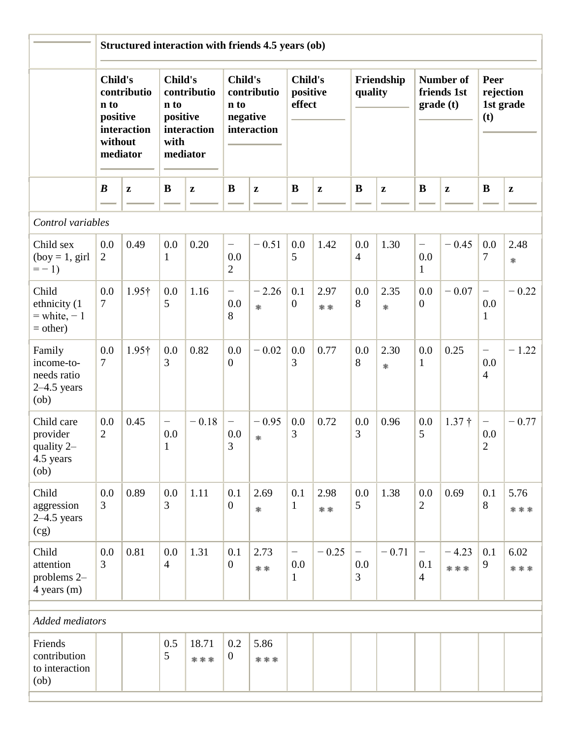|                                                              |                                                    |                            |                                                 |                            |                                                   | Structured interaction with friends 4.5 years (ob) |                                          |              |                               |              |                                            |                                 |                                            |               |
|--------------------------------------------------------------|----------------------------------------------------|----------------------------|-------------------------------------------------|----------------------------|---------------------------------------------------|----------------------------------------------------|------------------------------------------|--------------|-------------------------------|--------------|--------------------------------------------|---------------------------------|--------------------------------------------|---------------|
|                                                              | Child's<br>n to<br>positive<br>without<br>mediator | contributio<br>interaction | Child's<br>n to<br>positive<br>with<br>mediator | contributio<br>interaction | Child's<br>n to<br>negative                       | contributio<br>interaction                         | Child's<br>positive<br>effect            |              | quality                       | Friendship   | grade(t)                                   | <b>Number of</b><br>friends 1st | Peer<br>rejection<br>(t)                   | 1st grade     |
|                                                              | $\boldsymbol{B}$                                   | $\mathbf{z}$               | B                                               | $\mathbf{z}$               | B                                                 | $\mathbf{z}$                                       | B                                        | $\mathbf{z}$ | $\bf{B}$                      | $\mathbf{z}$ | B                                          | $\mathbf{z}$                    | $\bf{B}$                                   | $\mathbf{z}$  |
| Control variables                                            |                                                    |                            |                                                 |                            |                                                   |                                                    |                                          |              |                               |              |                                            |                                 |                                            |               |
| Child sex<br>$(boy = 1, girl)$<br>$=-1$                      | 0.0<br>2                                           | 0.49                       | 0.0<br>$\mathbf{1}$                             | 0.20                       | $\overline{\phantom{0}}$<br>0.0<br>$\overline{2}$ | $-0.51$                                            | 0.0<br>5                                 | 1.42         | 0.0<br>$\overline{4}$         | 1.30         | $\qquad \qquad -$<br>0.0<br>$\mathbf{1}$   | $-0.45$                         | 0.0<br>7                                   | 2.48<br>*     |
| Child<br>ethnicity (1<br>$=$ white, $-1$<br>$=$ other)       | 0.0<br>$7\phantom{.0}$                             | 1.95†                      | 0.0<br>5                                        | 1.16                       | —<br>0.0<br>8                                     | $-2.26$<br>*                                       | 0.1<br>$\mathbf{0}$                      | 2.97<br>* *  | 0.0<br>8                      | 2.35<br>*    | 0.0<br>$\mathbf{0}$                        | $-0.07$                         | $\qquad \qquad -$<br>0.0<br>$\mathbf{1}$   | $-0.22$       |
| Family<br>income-to-<br>needs ratio<br>$2-4.5$ years<br>(ob) | 0.0<br>$7\phantom{.0}$                             | 1.95†                      | 0.0<br>3                                        | 0.82                       | 0.0<br>$\boldsymbol{0}$                           | $-0.02$                                            | 0.0<br>3                                 | 0.77         | 0.0<br>8                      | 2.30<br>*    | 0.0<br>$\mathbf{1}$                        | 0.25                            | $\qquad \qquad -$<br>0.0<br>$\overline{4}$ | $-1.22$       |
| Child care<br>provider<br>quality $2-$<br>4.5 years<br>(ob)  | 0.0<br>$\overline{2}$                              | 0.45                       | $\qquad \qquad -$<br>0.0<br>$\mathbf{1}$        | $-0.18$                    | $\overline{\phantom{m}}$<br>0.0<br>3              | $-0.95$<br>*                                       | 0.0<br>3                                 | 0.72         | 0.0<br>3                      | 0.96         | 0.0<br>5                                   | $1.37 \;{\rm \ddot{r}}$         | $\qquad \qquad -$<br>0.0<br>$\overline{2}$ | $-0.77$       |
| Child<br>aggression<br>$2-4.5$ years<br>(cg)                 | 0.0<br>3                                           | 0.89                       | 0.0<br>3                                        | 1.11                       | 0.1<br>$\boldsymbol{0}$                           | 2.69<br>*                                          | 0.1<br>1                                 | 2.98<br>* *  | 0.0<br>5                      | 1.38         | 0.0<br>$\overline{2}$                      | 0.69                            | 0.1<br>8                                   | 5.76<br>* * * |
| Child<br>attention<br>problems 2-<br>4 years (m)             | 0.0<br>3                                           | 0.81                       | 0.0<br>$\overline{4}$                           | 1.31                       | 0.1<br>$\overline{0}$                             | 2.73<br>* *                                        | $\qquad \qquad -$<br>0.0<br>$\mathbf{1}$ | $-0.25$      | $\qquad \qquad -$<br>0.0<br>3 | $-0.71$      | $\qquad \qquad -$<br>0.1<br>$\overline{4}$ | $-4.23$<br>* * *                | 0.1<br>9                                   | 6.02<br>* * * |
| <b>Added</b> mediators                                       |                                                    |                            |                                                 |                            |                                                   |                                                    |                                          |              |                               |              |                                            |                                 |                                            |               |
| Friends<br>contribution<br>to interaction<br>(ob)            |                                                    |                            | 0.5<br>5                                        | 18.71<br>***               | 0.2<br>$\boldsymbol{0}$                           | 5.86<br>* * *                                      |                                          |              |                               |              |                                            |                                 |                                            |               |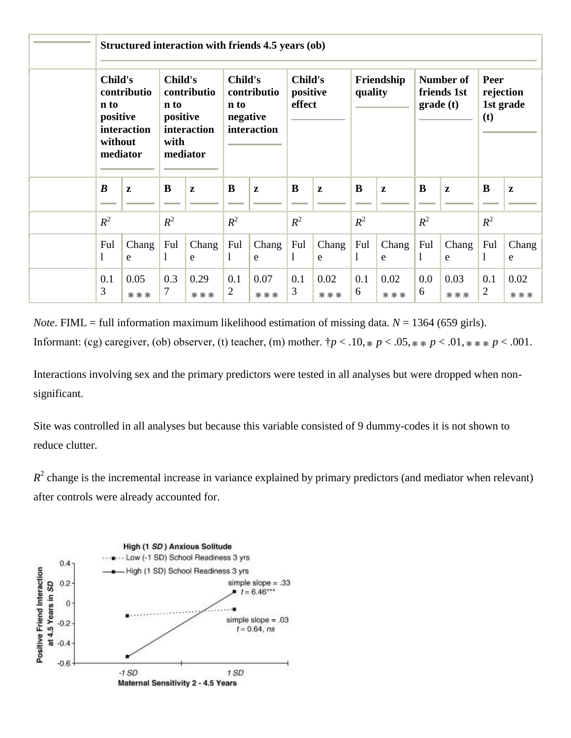|                                                                                  | Structured interaction with friends 4.5 years (ob) |                                                                               |               |                                                           |               |                               |               |                       |               |                                      |               |                                       |               |
|----------------------------------------------------------------------------------|----------------------------------------------------|-------------------------------------------------------------------------------|---------------|-----------------------------------------------------------|---------------|-------------------------------|---------------|-----------------------|---------------|--------------------------------------|---------------|---------------------------------------|---------------|
| Child's<br>contributio<br>n to<br>positive<br>interaction<br>without<br>mediator |                                                    | Child's<br>contributio<br>n to<br>positive<br>interaction<br>with<br>mediator |               | Child's<br>contributio<br>n to<br>negative<br>interaction |               | Child's<br>positive<br>effect |               | Friendship<br>quality |               | Number of<br>friends 1st<br>grade(t) |               | Peer<br>rejection<br>1st grade<br>(t) |               |
| $\boldsymbol{B}$                                                                 | $\mathbf{z}$                                       | B                                                                             | $\mathbf{z}$  | B                                                         | $\mathbf{z}$  | B                             | $\mathbf{z}$  | B                     | $\mathbf{z}$  | $\bf{B}$                             | $\mathbf{z}$  | B                                     | $\mathbf{z}$  |
| $R^2$                                                                            |                                                    | $R^2$                                                                         |               | $R^2$                                                     |               | $R^2$                         |               | $R^2$                 |               | $R^2$                                |               | $R^2$                                 |               |
| Ful<br>1                                                                         | Chang<br>e                                         | Ful<br>1                                                                      | Chang<br>e    | Ful<br>1                                                  | Chang<br>e    | Ful<br>1                      | Chang<br>e    | Ful<br>1              | Chang<br>e    | Ful<br>1                             | Chang<br>e    | Ful<br>1                              | Chang<br>e    |
| 0.1<br>3                                                                         | 0.05<br>* * *                                      | 0.3<br>7                                                                      | 0.29<br>* * * | 0.1<br>$\overline{2}$                                     | 0.07<br>* * * | 0.1<br>3                      | 0.02<br>* * * | 0.1<br>6              | 0.02<br>* * * | 0.0<br>6                             | 0.03<br>* * * | 0.1<br>$\overline{2}$                 | 0.02<br>* * * |

*Note*. FIML = full information maximum likelihood estimation of missing data.  $N = 1364$  (659 girls). Informant: (cg) caregiver, (ob) observer, (t) teacher, (m) mother.  $\dagger p < .10$ ,  $\ast p < .05$ ,  $\ast \ast p < .01$ ,  $\ast \ast p < .001$ .

Interactions involving sex and the primary predictors were tested in all analyses but were dropped when nonsignificant.

Site was controlled in all analyses but because this variable consisted of 9 dummy-codes it is not shown to reduce clutter.

 $R<sup>2</sup>$  change is the incremental increase in variance explained by primary predictors (and mediator when relevant) after controls were already accounted for.

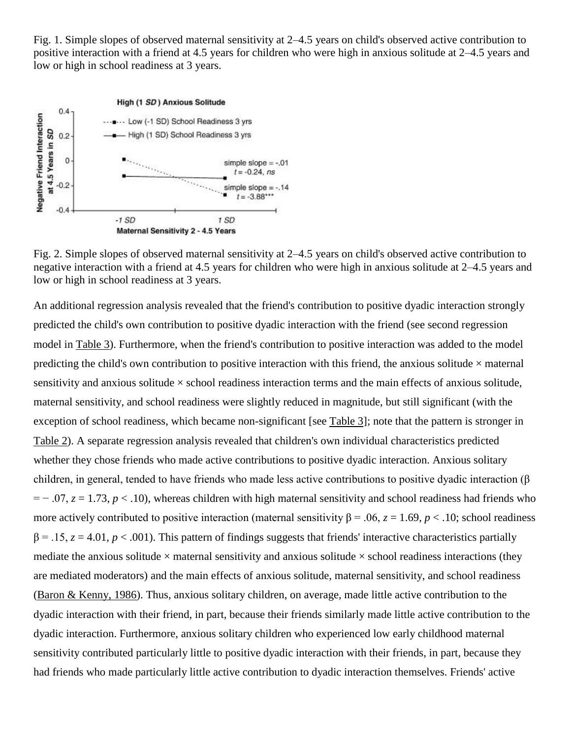Fig. 1. Simple slopes of observed maternal sensitivity at 2–4.5 years on child's observed active contribution to positive interaction with a friend at 4.5 years for children who were high in anxious solitude at 2–4.5 years and low or high in school readiness at 3 years.



Fig. 2. Simple slopes of observed maternal sensitivity at 2–4.5 years on child's observed active contribution to negative interaction with a friend at 4.5 years for children who were high in anxious solitude at 2–4.5 years and low or high in school readiness at 3 years.

An additional regression analysis revealed that the friend's contribution to positive dyadic interaction strongly predicted the child's own contribution to positive dyadic interaction with the friend (see second regression model in Table 3). Furthermore, when the friend's contribution to positive interaction was added to the model predicting the child's own contribution to positive interaction with this friend, the anxious solitude  $\times$  maternal sensitivity and anxious solitude  $\times$  school readiness interaction terms and the main effects of anxious solitude, maternal sensitivity, and school readiness were slightly reduced in magnitude, but still significant (with the exception of school readiness, which became non-significant [see Table 3]; note that the pattern is stronger in Table 2). A separate regression analysis revealed that children's own individual characteristics predicted whether they chose friends who made active contributions to positive dyadic interaction. Anxious solitary children, in general, tended to have friends who made less active contributions to positive dyadic interaction (β = − .07, *z* = 1.73, *p* < .10), whereas children with high maternal sensitivity and school readiness had friends who more actively contributed to positive interaction (maternal sensitivity  $\beta = .06$ ,  $z = 1.69$ ,  $p < .10$ ; school readiness  $\beta$  = .15,  $z$  = 4.01,  $p$  < .001). This pattern of findings suggests that friends' interactive characteristics partially mediate the anxious solitude  $\times$  maternal sensitivity and anxious solitude  $\times$  school readiness interactions (they are mediated moderators) and the main effects of anxious solitude, maternal sensitivity, and school readiness (Baron & Kenny, 1986). Thus, anxious solitary children, on average, made little active contribution to the dyadic interaction with their friend, in part, because their friends similarly made little active contribution to the dyadic interaction. Furthermore, anxious solitary children who experienced low early childhood maternal sensitivity contributed particularly little to positive dyadic interaction with their friends, in part, because they had friends who made particularly little active contribution to dyadic interaction themselves. Friends' active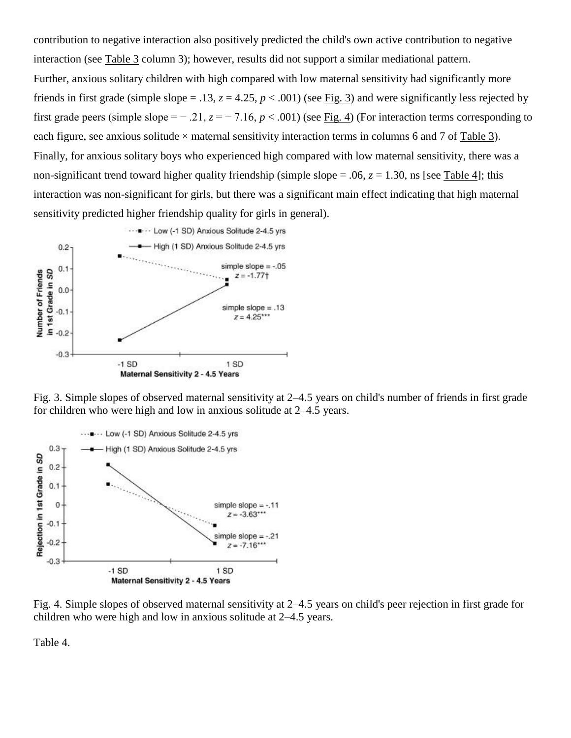contribution to negative interaction also positively predicted the child's own active contribution to negative interaction (see Table 3 column 3); however, results did not support a similar mediational pattern. Further, anxious solitary children with high compared with low maternal sensitivity had significantly more friends in first grade (simple slope = .13,  $z = 4.25$ ,  $p < .001$ ) (see Fig. 3) and were significantly less rejected by first grade peers (simple slope =  $-$  .21,  $z = -7.16$ ,  $p < .001$ ) (see Fig. 4) (For interaction terms corresponding to each figure, see anxious solitude  $\times$  maternal sensitivity interaction terms in columns 6 and 7 of Table 3). Finally, for anxious solitary boys who experienced high compared with low maternal sensitivity, there was a non-significant trend toward higher quality friendship (simple slope = .06,  $z = 1.30$ , ns [see Table 4]; this interaction was non-significant for girls, but there was a significant main effect indicating that high maternal sensitivity predicted higher friendship quality for girls in general).



Fig. 3. Simple slopes of observed maternal sensitivity at 2–4.5 years on child's number of friends in first grade for children who were high and low in anxious solitude at 2–4.5 years.



Fig. 4. Simple slopes of observed maternal sensitivity at 2–4.5 years on child's peer rejection in first grade for children who were high and low in anxious solitude at 2–4.5 years.

Table 4.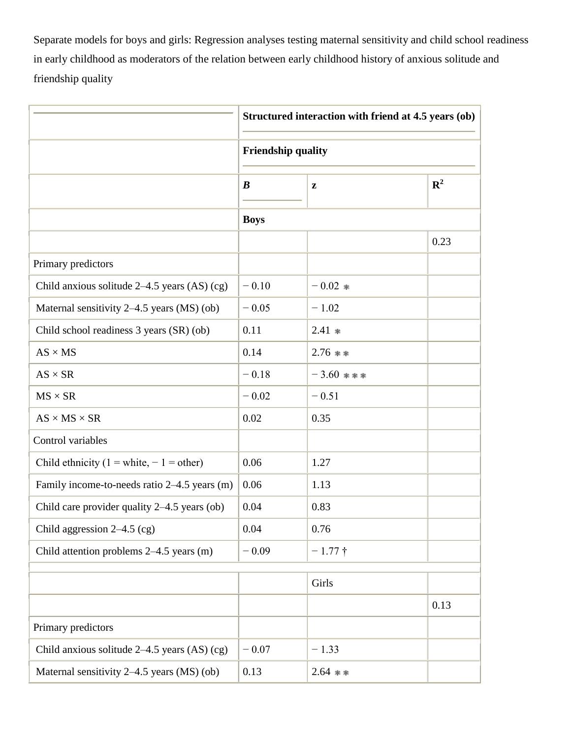Separate models for boys and girls: Regression analyses testing maternal sensitivity and child school readiness in early childhood as moderators of the relation between early childhood history of anxious solitude and friendship quality

|                                              | Structured interaction with friend at 4.5 years (ob) |             |             |  |  |
|----------------------------------------------|------------------------------------------------------|-------------|-------------|--|--|
|                                              | <b>Friendship quality</b>                            |             |             |  |  |
|                                              | $\boldsymbol{B}$                                     | z           | ${\bf R}^2$ |  |  |
|                                              | <b>Boys</b>                                          |             |             |  |  |
|                                              |                                                      |             | 0.23        |  |  |
| Primary predictors                           |                                                      |             |             |  |  |
| Child anxious solitude 2–4.5 years (AS) (cg) | $-0.10$                                              | $-0.02*$    |             |  |  |
| Maternal sensitivity 2–4.5 years (MS) (ob)   | $-0.05$                                              | $-1.02$     |             |  |  |
| Child school readiness 3 years (SR) (ob)     | 0.11                                                 | $2.41*$     |             |  |  |
| $AS \times MS$                               | 0.14                                                 | $2.76**$    |             |  |  |
| $AS \times SR$                               | $-0.18$                                              | $-3.60$ *** |             |  |  |
| $MS \times SR$                               | $-0.02$                                              | $-0.51$     |             |  |  |
| $AS \times MS \times SR$                     | 0.02                                                 | 0.35        |             |  |  |
| Control variables                            |                                                      |             |             |  |  |
| Child ethnicity ( $1 =$ white, $-1 =$ other) | 0.06                                                 | 1.27        |             |  |  |
| Family income-to-needs ratio 2–4.5 years (m) | 0.06                                                 | 1.13        |             |  |  |
| Child care provider quality 2–4.5 years (ob) | 0.04                                                 | 0.83        |             |  |  |
| Child aggression 2-4.5 (cg)                  | 0.04                                                 | 0.76        |             |  |  |
| Child attention problems 2–4.5 years (m)     | $-0.09$                                              | $-1.77$ †   |             |  |  |
|                                              |                                                      | Girls       |             |  |  |
|                                              |                                                      |             | 0.13        |  |  |
| Primary predictors                           |                                                      |             |             |  |  |
| Child anxious solitude 2–4.5 years (AS) (cg) | $-0.07$                                              | $-1.33$     |             |  |  |
| Maternal sensitivity 2–4.5 years (MS) (ob)   | 0.13                                                 | $2.64**$    |             |  |  |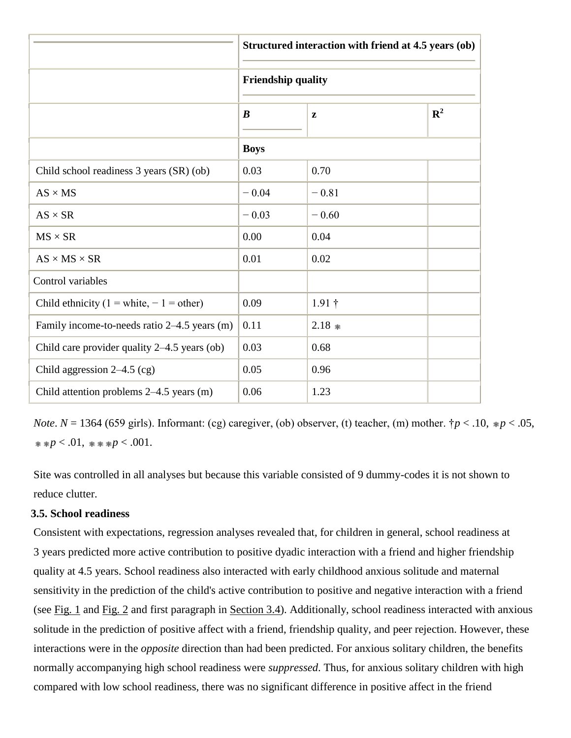|                                              | Structured interaction with friend at 4.5 years (ob) |                |             |  |  |
|----------------------------------------------|------------------------------------------------------|----------------|-------------|--|--|
|                                              | <b>Friendship quality</b>                            |                |             |  |  |
|                                              | $\boldsymbol{B}$                                     | z              | ${\bf R}^2$ |  |  |
|                                              | <b>Boys</b>                                          |                |             |  |  |
| Child school readiness 3 years (SR) (ob)     | 0.03                                                 | 0.70           |             |  |  |
| $AS \times MS$                               | $-0.04$                                              | $-0.81$        |             |  |  |
| $AS \times SR$                               | $-0.03$                                              | $-0.60$        |             |  |  |
| $MS \times SR$                               | 0.00                                                 | 0.04           |             |  |  |
| $AS \times MS \times SR$                     | 0.01                                                 | 0.02           |             |  |  |
| Control variables                            |                                                      |                |             |  |  |
| Child ethnicity ( $1 =$ white, $-1 =$ other) | 0.09                                                 | $1.91 \dagger$ |             |  |  |
| Family income-to-needs ratio 2-4.5 years (m) | 0.11                                                 | $2.18*$        |             |  |  |
| Child care provider quality 2–4.5 years (ob) | 0.03                                                 | 0.68           |             |  |  |
| Child aggression $2-4.5$ (cg)                | 0.05                                                 | 0.96           |             |  |  |
| Child attention problems 2–4.5 years (m)     | 0.06                                                 | 1.23           |             |  |  |

*Note*.  $N = 1364$  (659 girls). Informant: (cg) caregiver, (ob) observer, (t) teacher, (m) mother.  $\dot{\tau}p < .10$ ,  $*p < .05$ ,  $p \times 0.01$ ,  $p \times 0.001$ .

Site was controlled in all analyses but because this variable consisted of 9 dummy-codes it is not shown to reduce clutter.

# **3.5. School readiness**

Consistent with expectations, regression analyses revealed that, for children in general, school readiness at 3 years predicted more active contribution to positive dyadic interaction with a friend and higher friendship quality at 4.5 years. School readiness also interacted with early childhood anxious solitude and maternal sensitivity in the prediction of the child's active contribution to positive and negative interaction with a friend (see Fig. 1 and Fig. 2 and first paragraph in Section 3.4). Additionally, school readiness interacted with anxious solitude in the prediction of positive affect with a friend, friendship quality, and peer rejection. However, these interactions were in the *opposite* direction than had been predicted. For anxious solitary children, the benefits normally accompanying high school readiness were *suppressed*. Thus, for anxious solitary children with high compared with low school readiness, there was no significant difference in positive affect in the friend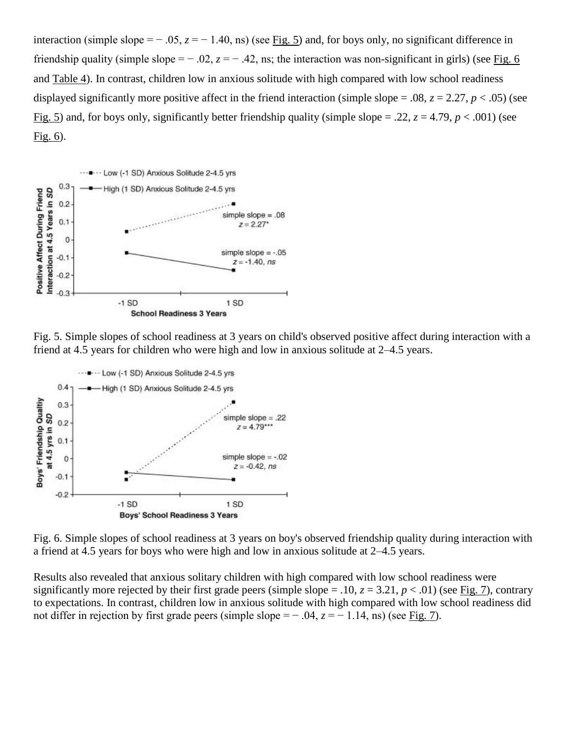interaction (simple slope =  $-$  .05,  $z = -1.40$ , ns) (see Fig. 5) and, for boys only, no significant difference in friendship quality (simple slope =  $-$  .02,  $z = -1.42$ , ns; the interaction was non-significant in girls) (see Fig. 6 and Table 4). In contrast, children low in anxious solitude with high compared with low school readiness displayed significantly more positive affect in the friend interaction (simple slope =  $.08$ ,  $z = 2.27$ ,  $p < .05$ ) (see Fig. 5) and, for boys only, significantly better friendship quality (simple slope = .22,  $z = 4.79$ ,  $p < .001$ ) (see Fig.  $6$ ).



Fig. 5. Simple slopes of school readiness at 3 years on child's observed positive affect during interaction with a friend at 4.5 years for children who were high and low in anxious solitude at 2–4.5 years.



Fig. 6. Simple slopes of school readiness at 3 years on boy's observed friendship quality during interaction with a friend at 4.5 years for boys who were high and low in anxious solitude at 2–4.5 years.

Results also revealed that anxious solitary children with high compared with low school readiness were significantly more rejected by their first grade peers (simple slope = .10,  $z = 3.21$ ,  $p < .01$ ) (see Fig. 7), contrary to expectations. In contrast, children low in anxious solitude with high compared with low school readiness did not differ in rejection by first grade peers (simple slope =  $-$  .04,  $z = -1.14$ , ns) (see Fig. 7).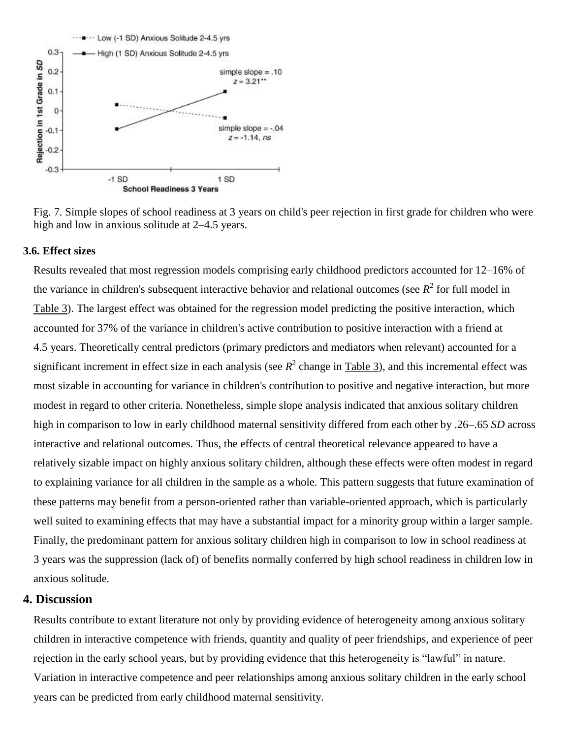

Fig. 7. Simple slopes of school readiness at 3 years on child's peer rejection in first grade for children who were high and low in anxious solitude at 2–4.5 years.

## **3.6. Effect sizes**

Results revealed that most regression models comprising early childhood predictors accounted for 12–16% of the variance in children's subsequent interactive behavior and relational outcomes (see  $R^2$  for full model in Table 3). The largest effect was obtained for the regression model predicting the positive interaction, which accounted for 37% of the variance in children's active contribution to positive interaction with a friend at 4.5 years. Theoretically central predictors (primary predictors and mediators when relevant) accounted for a significant increment in effect size in each analysis (see  $R^2$  change in Table 3), and this incremental effect was most sizable in accounting for variance in children's contribution to positive and negative interaction, but more modest in regard to other criteria. Nonetheless, simple slope analysis indicated that anxious solitary children high in comparison to low in early childhood maternal sensitivity differed from each other by .26–.65 *SD* across interactive and relational outcomes. Thus, the effects of central theoretical relevance appeared to have a relatively sizable impact on highly anxious solitary children, although these effects were often modest in regard to explaining variance for all children in the sample as a whole. This pattern suggests that future examination of these patterns may benefit from a person-oriented rather than variable-oriented approach, which is particularly well suited to examining effects that may have a substantial impact for a minority group within a larger sample. Finally, the predominant pattern for anxious solitary children high in comparison to low in school readiness at 3 years was the suppression (lack of) of benefits normally conferred by high school readiness in children low in anxious solitude.

## **4. Discussion**

Results contribute to extant literature not only by providing evidence of heterogeneity among anxious solitary children in interactive competence with friends, quantity and quality of peer friendships, and experience of peer rejection in the early school years, but by providing evidence that this heterogeneity is "lawful" in nature. Variation in interactive competence and peer relationships among anxious solitary children in the early school years can be predicted from early childhood maternal sensitivity.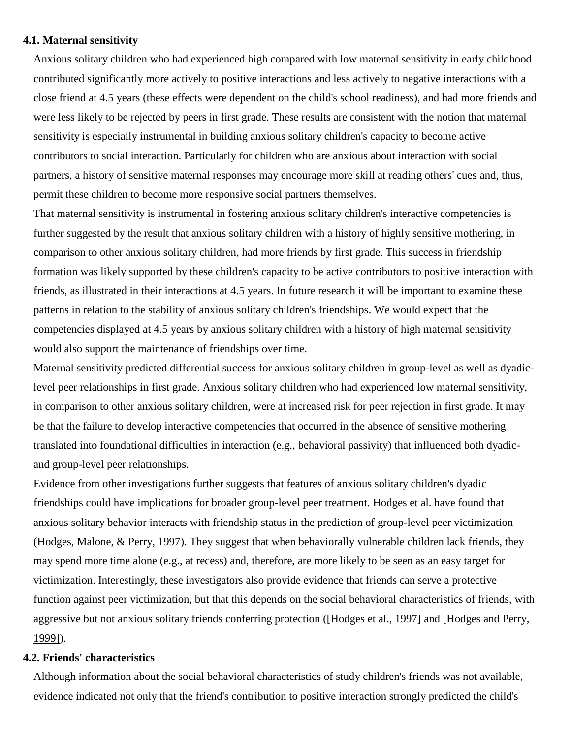#### **4.1. Maternal sensitivity**

Anxious solitary children who had experienced high compared with low maternal sensitivity in early childhood contributed significantly more actively to positive interactions and less actively to negative interactions with a close friend at 4.5 years (these effects were dependent on the child's school readiness), and had more friends and were less likely to be rejected by peers in first grade. These results are consistent with the notion that maternal sensitivity is especially instrumental in building anxious solitary children's capacity to become active contributors to social interaction. Particularly for children who are anxious about interaction with social partners, a history of sensitive maternal responses may encourage more skill at reading others' cues and, thus, permit these children to become more responsive social partners themselves.

That maternal sensitivity is instrumental in fostering anxious solitary children's interactive competencies is further suggested by the result that anxious solitary children with a history of highly sensitive mothering, in comparison to other anxious solitary children, had more friends by first grade. This success in friendship formation was likely supported by these children's capacity to be active contributors to positive interaction with friends, as illustrated in their interactions at 4.5 years. In future research it will be important to examine these patterns in relation to the stability of anxious solitary children's friendships. We would expect that the competencies displayed at 4.5 years by anxious solitary children with a history of high maternal sensitivity would also support the maintenance of friendships over time.

Maternal sensitivity predicted differential success for anxious solitary children in group-level as well as dyadiclevel peer relationships in first grade. Anxious solitary children who had experienced low maternal sensitivity, in comparison to other anxious solitary children, were at increased risk for peer rejection in first grade. It may be that the failure to develop interactive competencies that occurred in the absence of sensitive mothering translated into foundational difficulties in interaction (e.g., behavioral passivity) that influenced both dyadicand group-level peer relationships.

Evidence from other investigations further suggests that features of anxious solitary children's dyadic friendships could have implications for broader group-level peer treatment. Hodges et al. have found that anxious solitary behavior interacts with friendship status in the prediction of group-level peer victimization (Hodges, Malone, & Perry, 1997). They suggest that when behaviorally vulnerable children lack friends, they may spend more time alone (e.g., at recess) and, therefore, are more likely to be seen as an easy target for victimization. Interestingly, these investigators also provide evidence that friends can serve a protective function against peer victimization, but that this depends on the social behavioral characteristics of friends, with aggressive but not anxious solitary friends conferring protection ([Hodges et al., 1997] and [Hodges and Perry, 1999]).

## **4.2. Friends' characteristics**

Although information about the social behavioral characteristics of study children's friends was not available, evidence indicated not only that the friend's contribution to positive interaction strongly predicted the child's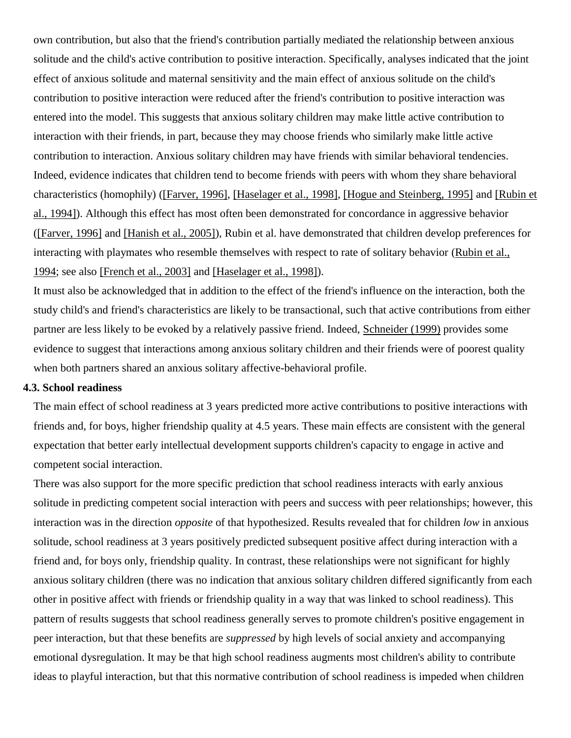own contribution, but also that the friend's contribution partially mediated the relationship between anxious solitude and the child's active contribution to positive interaction. Specifically, analyses indicated that the joint effect of anxious solitude and maternal sensitivity and the main effect of anxious solitude on the child's contribution to positive interaction were reduced after the friend's contribution to positive interaction was entered into the model. This suggests that anxious solitary children may make little active contribution to interaction with their friends, in part, because they may choose friends who similarly make little active contribution to interaction. Anxious solitary children may have friends with similar behavioral tendencies. Indeed, evidence indicates that children tend to become friends with peers with whom they share behavioral characteristics (homophily) ([Farver, 1996], [Haselager et al., 1998], [Hogue and Steinberg, 1995] and [Rubin et al., 1994]). Although this effect has most often been demonstrated for concordance in aggressive behavior ([Farver, 1996] and [Hanish et al., 2005]), Rubin et al. have demonstrated that children develop preferences for interacting with playmates who resemble themselves with respect to rate of solitary behavior (Rubin et al., 1994; see also [French et al., 2003] and [Haselager et al., 1998]).

It must also be acknowledged that in addition to the effect of the friend's influence on the interaction, both the study child's and friend's characteristics are likely to be transactional, such that active contributions from either partner are less likely to be evoked by a relatively passive friend. Indeed, Schneider (1999) provides some evidence to suggest that interactions among anxious solitary children and their friends were of poorest quality when both partners shared an anxious solitary affective-behavioral profile.

## **4.3. School readiness**

The main effect of school readiness at 3 years predicted more active contributions to positive interactions with friends and, for boys, higher friendship quality at 4.5 years. These main effects are consistent with the general expectation that better early intellectual development supports children's capacity to engage in active and competent social interaction.

There was also support for the more specific prediction that school readiness interacts with early anxious solitude in predicting competent social interaction with peers and success with peer relationships; however, this interaction was in the direction *opposite* of that hypothesized. Results revealed that for children *low* in anxious solitude, school readiness at 3 years positively predicted subsequent positive affect during interaction with a friend and, for boys only, friendship quality. In contrast, these relationships were not significant for highly anxious solitary children (there was no indication that anxious solitary children differed significantly from each other in positive affect with friends or friendship quality in a way that was linked to school readiness). This pattern of results suggests that school readiness generally serves to promote children's positive engagement in peer interaction, but that these benefits are *suppressed* by high levels of social anxiety and accompanying emotional dysregulation. It may be that high school readiness augments most children's ability to contribute ideas to playful interaction, but that this normative contribution of school readiness is impeded when children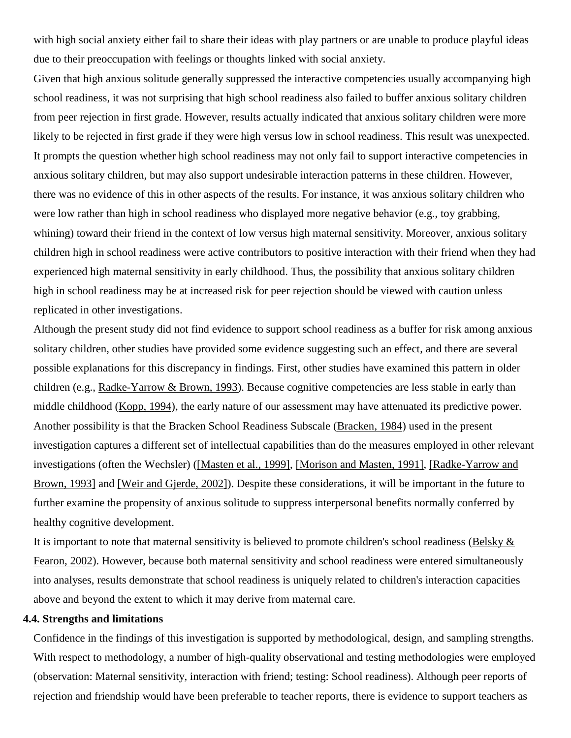with high social anxiety either fail to share their ideas with play partners or are unable to produce playful ideas due to their preoccupation with feelings or thoughts linked with social anxiety.

Given that high anxious solitude generally suppressed the interactive competencies usually accompanying high school readiness, it was not surprising that high school readiness also failed to buffer anxious solitary children from peer rejection in first grade. However, results actually indicated that anxious solitary children were more likely to be rejected in first grade if they were high versus low in school readiness. This result was unexpected. It prompts the question whether high school readiness may not only fail to support interactive competencies in anxious solitary children, but may also support undesirable interaction patterns in these children. However, there was no evidence of this in other aspects of the results. For instance, it was anxious solitary children who were low rather than high in school readiness who displayed more negative behavior (e.g., toy grabbing, whining) toward their friend in the context of low versus high maternal sensitivity. Moreover, anxious solitary children high in school readiness were active contributors to positive interaction with their friend when they had experienced high maternal sensitivity in early childhood. Thus, the possibility that anxious solitary children high in school readiness may be at increased risk for peer rejection should be viewed with caution unless replicated in other investigations.

Although the present study did not find evidence to support school readiness as a buffer for risk among anxious solitary children, other studies have provided some evidence suggesting such an effect, and there are several possible explanations for this discrepancy in findings. First, other studies have examined this pattern in older children (e.g., Radke-Yarrow & Brown, 1993). Because cognitive competencies are less stable in early than middle childhood (Kopp, 1994), the early nature of our assessment may have attenuated its predictive power. Another possibility is that the Bracken School Readiness Subscale (Bracken, 1984) used in the present investigation captures a different set of intellectual capabilities than do the measures employed in other relevant investigations (often the Wechsler) ([Masten et al., 1999], [Morison and Masten, 1991], [Radke-Yarrow and Brown, 1993] and [Weir and Gjerde, 2002]). Despite these considerations, it will be important in the future to further examine the propensity of anxious solitude to suppress interpersonal benefits normally conferred by healthy cognitive development.

It is important to note that maternal sensitivity is believed to promote children's school readiness (Belsky & Fearon, 2002). However, because both maternal sensitivity and school readiness were entered simultaneously into analyses, results demonstrate that school readiness is uniquely related to children's interaction capacities above and beyond the extent to which it may derive from maternal care.

# **4.4. Strengths and limitations**

Confidence in the findings of this investigation is supported by methodological, design, and sampling strengths. With respect to methodology, a number of high-quality observational and testing methodologies were employed (observation: Maternal sensitivity, interaction with friend; testing: School readiness). Although peer reports of rejection and friendship would have been preferable to teacher reports, there is evidence to support teachers as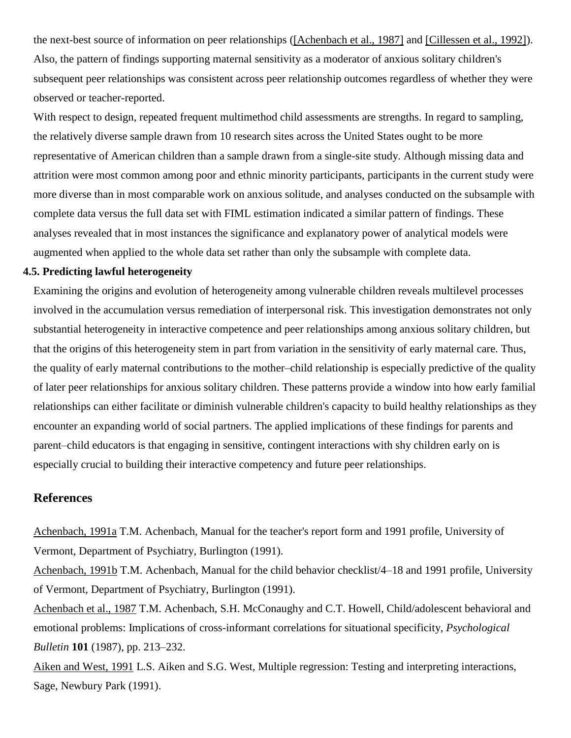the next-best source of information on peer relationships ([Achenbach et al., 1987] and [Cillessen et al., 1992]). Also, the pattern of findings supporting maternal sensitivity as a moderator of anxious solitary children's subsequent peer relationships was consistent across peer relationship outcomes regardless of whether they were observed or teacher-reported.

With respect to design, repeated frequent multimethod child assessments are strengths. In regard to sampling, the relatively diverse sample drawn from 10 research sites across the United States ought to be more representative of American children than a sample drawn from a single-site study. Although missing data and attrition were most common among poor and ethnic minority participants, participants in the current study were more diverse than in most comparable work on anxious solitude, and analyses conducted on the subsample with complete data versus the full data set with FIML estimation indicated a similar pattern of findings. These analyses revealed that in most instances the significance and explanatory power of analytical models were augmented when applied to the whole data set rather than only the subsample with complete data.

## **4.5. Predicting lawful heterogeneity**

Examining the origins and evolution of heterogeneity among vulnerable children reveals multilevel processes involved in the accumulation versus remediation of interpersonal risk. This investigation demonstrates not only substantial heterogeneity in interactive competence and peer relationships among anxious solitary children, but that the origins of this heterogeneity stem in part from variation in the sensitivity of early maternal care. Thus, the quality of early maternal contributions to the mother–child relationship is especially predictive of the quality of later peer relationships for anxious solitary children. These patterns provide a window into how early familial relationships can either facilitate or diminish vulnerable children's capacity to build healthy relationships as they encounter an expanding world of social partners. The applied implications of these findings for parents and parent–child educators is that engaging in sensitive, contingent interactions with shy children early on is especially crucial to building their interactive competency and future peer relationships.

# **References**

Achenbach, 1991a T.M. Achenbach, Manual for the teacher's report form and 1991 profile, University of Vermont, Department of Psychiatry, Burlington (1991).

Achenbach, 1991b T.M. Achenbach, Manual for the child behavior checklist/4–18 and 1991 profile, University of Vermont, Department of Psychiatry, Burlington (1991).

Achenbach et al., 1987 T.M. Achenbach, S.H. McConaughy and C.T. Howell, Child/adolescent behavioral and emotional problems: Implications of cross-informant correlations for situational specificity, *Psychological Bulletin* **101** (1987), pp. 213–232.

Aiken and West, 1991 L.S. Aiken and S.G. West, Multiple regression: Testing and interpreting interactions, Sage, Newbury Park (1991).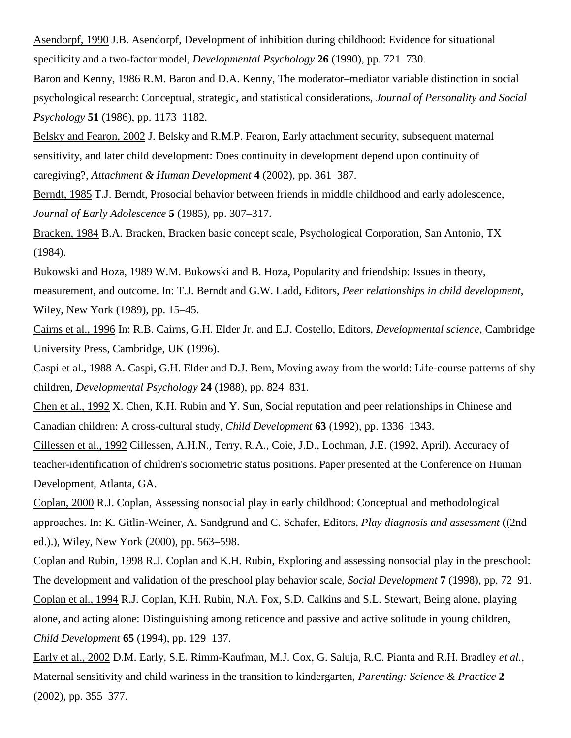Asendorpf, 1990 J.B. Asendorpf, Development of inhibition during childhood: Evidence for situational specificity and a two-factor model, *Developmental Psychology* **26** (1990), pp. 721–730.

Baron and Kenny, 1986 R.M. Baron and D.A. Kenny, The moderator–mediator variable distinction in social psychological research: Conceptual, strategic, and statistical considerations, *Journal of Personality and Social Psychology* **51** (1986), pp. 1173–1182.

Belsky and Fearon, 2002 J. Belsky and R.M.P. Fearon, Early attachment security, subsequent maternal sensitivity, and later child development: Does continuity in development depend upon continuity of caregiving?, *Attachment & Human Development* **4** (2002), pp. 361–387.

Berndt, 1985 T.J. Berndt, Prosocial behavior between friends in middle childhood and early adolescence, *Journal of Early Adolescence* **5** (1985), pp. 307–317.

Bracken, 1984 B.A. Bracken, Bracken basic concept scale, Psychological Corporation, San Antonio, TX (1984).

Bukowski and Hoza, 1989 W.M. Bukowski and B. Hoza, Popularity and friendship: Issues in theory, measurement, and outcome. In: T.J. Berndt and G.W. Ladd, Editors, *Peer relationships in child development*, Wiley, New York (1989), pp. 15–45.

Cairns et al., 1996 In: R.B. Cairns, G.H. Elder Jr. and E.J. Costello, Editors, *Developmental science*, Cambridge University Press, Cambridge, UK (1996).

Caspi et al., 1988 A. Caspi, G.H. Elder and D.J. Bem, Moving away from the world: Life-course patterns of shy children, *Developmental Psychology* **24** (1988), pp. 824–831.

Chen et al., 1992 X. Chen, K.H. Rubin and Y. Sun, Social reputation and peer relationships in Chinese and Canadian children: A cross-cultural study, *Child Development* **63** (1992), pp. 1336–1343.

Cillessen et al., 1992 Cillessen, A.H.N., Terry, R.A., Coie, J.D., Lochman, J.E. (1992, April). Accuracy of teacher-identification of children's sociometric status positions. Paper presented at the Conference on Human Development, Atlanta, GA.

Coplan, 2000 R.J. Coplan, Assessing nonsocial play in early childhood: Conceptual and methodological approaches. In: K. Gitlin-Weiner, A. Sandgrund and C. Schafer, Editors, *Play diagnosis and assessment* ((2nd ed.).), Wiley, New York (2000), pp. 563–598.

Coplan and Rubin, 1998 R.J. Coplan and K.H. Rubin, Exploring and assessing nonsocial play in the preschool: The development and validation of the preschool play behavior scale, *Social Development* **7** (1998), pp. 72–91. Coplan et al., 1994 R.J. Coplan, K.H. Rubin, N.A. Fox, S.D. Calkins and S.L. Stewart, Being alone, playing alone, and acting alone: Distinguishing among reticence and passive and active solitude in young children, *Child Development* **65** (1994), pp. 129–137.

Early et al., 2002 D.M. Early, S.E. Rimm-Kaufman, M.J. Cox, G. Saluja, R.C. Pianta and R.H. Bradley *et al.*, Maternal sensitivity and child wariness in the transition to kindergarten, *Parenting: Science & Practice* **2** (2002), pp. 355–377.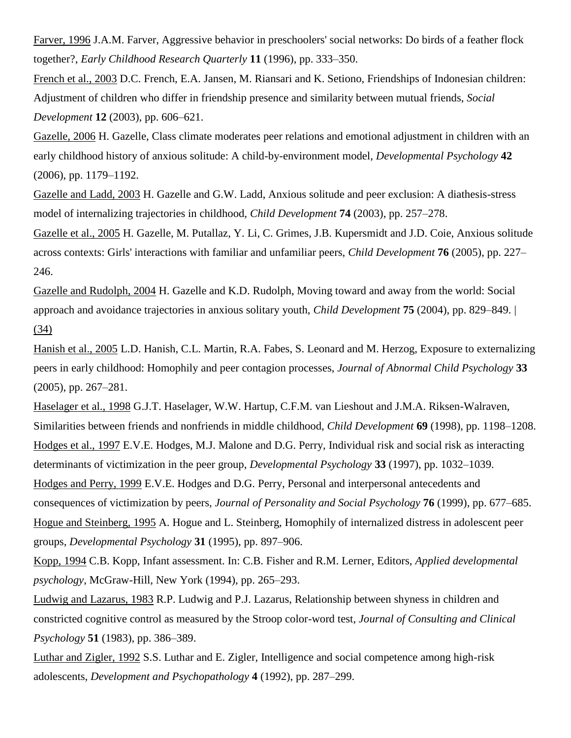Farver, 1996 J.A.M. Farver, Aggressive behavior in preschoolers' social networks: Do birds of a feather flock together?, *Early Childhood Research Quarterly* **11** (1996), pp. 333–350.

French et al., 2003 D.C. French, E.A. Jansen, M. Riansari and K. Setiono, Friendships of Indonesian children: Adjustment of children who differ in friendship presence and similarity between mutual friends, *Social Development* **12** (2003), pp. 606–621.

Gazelle, 2006 H. Gazelle, Class climate moderates peer relations and emotional adjustment in children with an early childhood history of anxious solitude: A child-by-environment model, *Developmental Psychology* **42** (2006), pp. 1179–1192.

Gazelle and Ladd, 2003 H. Gazelle and G.W. Ladd, Anxious solitude and peer exclusion: A diathesis-stress model of internalizing trajectories in childhood, *Child Development* **74** (2003), pp. 257–278.

Gazelle et al., 2005 H. Gazelle, M. Putallaz, Y. Li, C. Grimes, J.B. Kupersmidt and J.D. Coie, Anxious solitude across contexts: Girls' interactions with familiar and unfamiliar peers, *Child Development* **76** (2005), pp. 227– 246.

Gazelle and Rudolph, 2004 H. Gazelle and K.D. Rudolph, Moving toward and away from the world: Social approach and avoidance trajectories in anxious solitary youth, *Child Development* **75** (2004), pp. 829–849. | (34)

Hanish et al., 2005 L.D. Hanish, C.L. Martin, R.A. Fabes, S. Leonard and M. Herzog, Exposure to externalizing peers in early childhood: Homophily and peer contagion processes, *Journal of Abnormal Child Psychology* **33** (2005), pp. 267–281.

Haselager et al., 1998 G.J.T. Haselager, W.W. Hartup, C.F.M. van Lieshout and J.M.A. Riksen-Walraven, Similarities between friends and nonfriends in middle childhood, *Child Development* **69** (1998), pp. 1198–1208. Hodges et al., 1997 E.V.E. Hodges, M.J. Malone and D.G. Perry, Individual risk and social risk as interacting determinants of victimization in the peer group, *Developmental Psychology* **33** (1997), pp. 1032–1039. Hodges and Perry, 1999 E.V.E. Hodges and D.G. Perry, Personal and interpersonal antecedents and consequences of victimization by peers, *Journal of Personality and Social Psychology* **76** (1999), pp. 677–685. Hogue and Steinberg, 1995 A. Hogue and L. Steinberg, Homophily of internalized distress in adolescent peer groups, *Developmental Psychology* **31** (1995), pp. 897–906.

Kopp, 1994 C.B. Kopp, Infant assessment. In: C.B. Fisher and R.M. Lerner, Editors, *Applied developmental psychology*, McGraw-Hill, New York (1994), pp. 265–293.

Ludwig and Lazarus, 1983 R.P. Ludwig and P.J. Lazarus, Relationship between shyness in children and constricted cognitive control as measured by the Stroop color-word test, *Journal of Consulting and Clinical Psychology* **51** (1983), pp. 386–389.

Luthar and Zigler, 1992 S.S. Luthar and E. Zigler, Intelligence and social competence among high-risk adolescents, *Development and Psychopathology* **4** (1992), pp. 287–299.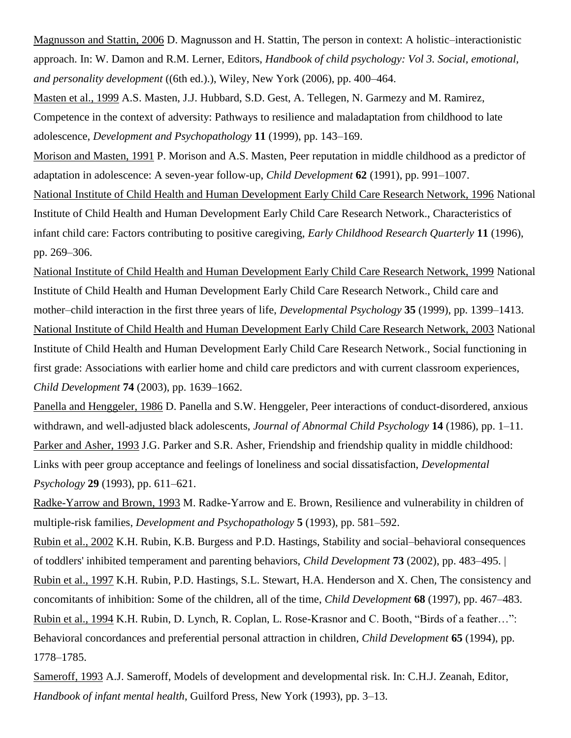Magnusson and Stattin, 2006 D. Magnusson and H. Stattin, The person in context: A holistic–interactionistic approach. In: W. Damon and R.M. Lerner, Editors, *Handbook of child psychology: Vol 3. Social, emotional, and personality development* ((6th ed.).), Wiley, New York (2006), pp. 400–464.

Masten et al., 1999 A.S. Masten, J.J. Hubbard, S.D. Gest, A. Tellegen, N. Garmezy and M. Ramirez, Competence in the context of adversity: Pathways to resilience and maladaptation from childhood to late adolescence, *Development and Psychopathology* **11** (1999), pp. 143–169.

Morison and Masten, 1991 P. Morison and A.S. Masten, Peer reputation in middle childhood as a predictor of adaptation in adolescence: A seven-year follow-up, *Child Development* **62** (1991), pp. 991–1007.

National Institute of Child Health and Human Development Early Child Care Research Network, 1996 National Institute of Child Health and Human Development Early Child Care Research Network., Characteristics of infant child care: Factors contributing to positive caregiving, *Early Childhood Research Quarterly* **11** (1996), pp. 269–306.

National Institute of Child Health and Human Development Early Child Care Research Network, 1999 National Institute of Child Health and Human Development Early Child Care Research Network., Child care and mother–child interaction in the first three years of life, *Developmental Psychology* **35** (1999), pp. 1399–1413. National Institute of Child Health and Human Development Early Child Care Research Network, 2003 National Institute of Child Health and Human Development Early Child Care Research Network., Social functioning in first grade: Associations with earlier home and child care predictors and with current classroom experiences, *Child Development* **74** (2003), pp. 1639–1662.

Panella and Henggeler, 1986 D. Panella and S.W. Henggeler, Peer interactions of conduct-disordered, anxious withdrawn, and well-adjusted black adolescents, *Journal of Abnormal Child Psychology* **14** (1986), pp. 1–11. Parker and Asher, 1993 J.G. Parker and S.R. Asher, Friendship and friendship quality in middle childhood: Links with peer group acceptance and feelings of loneliness and social dissatisfaction, *Developmental Psychology* **29** (1993), pp. 611–621.

Radke-Yarrow and Brown, 1993 M. Radke-Yarrow and E. Brown, Resilience and vulnerability in children of multiple-risk families, *Development and Psychopathology* **5** (1993), pp. 581–592.

Rubin et al., 2002 K.H. Rubin, K.B. Burgess and P.D. Hastings, Stability and social–behavioral consequences of toddlers' inhibited temperament and parenting behaviors, *Child Development* **73** (2002), pp. 483–495. | Rubin et al., 1997 K.H. Rubin, P.D. Hastings, S.L. Stewart, H.A. Henderson and X. Chen, The consistency and concomitants of inhibition: Some of the children, all of the time, *Child Development* **68** (1997), pp. 467–483. Rubin et al., 1994 K.H. Rubin, D. Lynch, R. Coplan, L. Rose-Krasnor and C. Booth, "Birds of a feather…": Behavioral concordances and preferential personal attraction in children, *Child Development* **65** (1994), pp. 1778–1785.

Sameroff, 1993 A.J. Sameroff, Models of development and developmental risk. In: C.H.J. Zeanah, Editor, *Handbook of infant mental health*, Guilford Press, New York (1993), pp. 3–13.